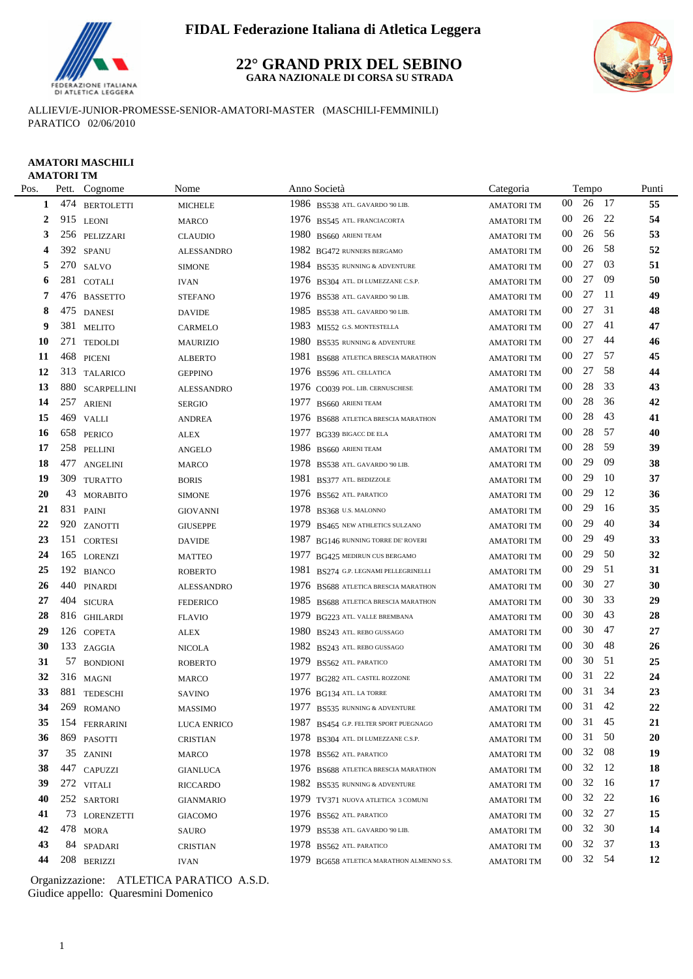

#### **22° GRAND PRIX DEL SEBINO GARA NAZIONALE DI CORSA SU STRADA**



ALLIEVI/E-JUNIOR-PROMESSE-SENIOR-AMATORI-MASTER (MASCHILI-FEMMINILI) PARATICO 02/06/2010

#### **AMATORI MASCHILI AMATORI TM**

| Pos. |     | Pett. Cognome      | Nome              | Anno Società                              | Categoria         |                 | Tempo    |      | Punti  |
|------|-----|--------------------|-------------------|-------------------------------------------|-------------------|-----------------|----------|------|--------|
| 1    | 474 | <b>BERTOLETTI</b>  | <b>MICHELE</b>    | 1986 BS538 ATL. GAVARDO '90 LIB.          | <b>AMATORITM</b>  | $00\,$          | 26       | -17  | 55     |
| 2    |     | 915 LEONI          | <b>MARCO</b>      | 1976 BS545 ATL. FRANCIACORTA              | <b>AMATORITM</b>  | 00              | 26       | 22   | 54     |
| 3    |     | 256 PELIZZARI      | <b>CLAUDIO</b>    | 1980 BS660 ARIENI TEAM                    | <b>AMATORITM</b>  | 00              | 26       | 56   | 53     |
| 4    |     | 392 SPANU          | <b>ALESSANDRO</b> | 1982 BG472 RUNNERS BERGAMO                | <b>AMATORITM</b>  | $00\,$          | 26       | 58   | 52     |
| 5    |     | 270 SALVO          | <b>SIMONE</b>     | 1984 BS535 RUNNING & ADVENTURE            | <b>AMATORITM</b>  | 00              | 27       | 03   | 51     |
| 6    | 281 | <b>COTALI</b>      | <b>IVAN</b>       | 1976 BS304 ATL. DI LUMEZZANE C.S.P.       | <b>AMATORITM</b>  | $00\,$          | 27       | -09  | 50     |
| 7    | 476 | <b>BASSETTO</b>    | <b>STEFANO</b>    | 1976 BS538 ATL. GAVARDO '90 LIB.          | <b>AMATORI TM</b> | $00\,$          | 27       | -11  | 49     |
| 8    |     | 475 DANESI         | <b>DAVIDE</b>     | 1985 BS538 ATL. GAVARDO '90 LIB.          | <b>AMATORI TM</b> | 00              | 27       | 31   | 48     |
| 9    |     | 381 MELITO         | CARMELO           | 1983 MI552 G.S. MONTESTELLA               | <b>AMATORITM</b>  | 00              | 27       | 41   | 47     |
| 10   | 271 | <b>TEDOLDI</b>     | <b>MAURIZIO</b>   | 1980<br>BS535 RUNNING & ADVENTURE         | <b>AMATORITM</b>  | $00\,$          | 27       | 44   | 46     |
| 11   | 468 | <b>PICENI</b>      | <b>ALBERTO</b>    | 1981<br>BS688 ATLETICA BRESCIA MARATHON   | <b>AMATORITM</b>  | $00\,$          | 27       | 57   | 45     |
| 12   |     | 313 TALARICO       | <b>GEPPINO</b>    | 1976 BS596 ATL. CELLATICA                 | <b>AMATORITM</b>  | 00              | 27       | 58   | 44     |
| 13   | 880 | <b>SCARPELLINI</b> | <b>ALESSANDRO</b> | 1976 CO039 POL. LIB. CERNUSCHESE          | <b>AMATORI TM</b> | 00              | 28       | 33   | 43     |
| 14   | 257 | <b>ARIENI</b>      | <b>SERGIO</b>     | 1977<br>BS660 ARIENI TEAM                 | <b>AMATORITM</b>  | 00              | 28       | 36   | 42     |
| 15   |     | 469 VALLI          | <b>ANDREA</b>     | 1976 BS688 ATLETICA BRESCIA MARATHON      | <b>AMATORITM</b>  | $00\,$          | 28       | 43   | 41     |
| 16   | 658 | <b>PERICO</b>      | ALEX              | 1977<br>BG339 BIGACC DE ELA               | <b>AMATORITM</b>  | $00\,$          | 28       | 57   | 40     |
| 17   | 258 | PELLINI            | <b>ANGELO</b>     | 1986 BS660 ARIENI TEAM                    | <b>AMATORITM</b>  | $00\,$          | 28       | 59   | 39     |
| 18   | 477 | <b>ANGELINI</b>    | <b>MARCO</b>      | 1978 BS538 ATL. GAVARDO '90 LIB.          | <b>AMATORITM</b>  | $00\,$          | 29       | 09   | 38     |
| 19   | 309 | <b>TURATTO</b>     | <b>BORIS</b>      | 1981<br>BS377 ATL. BEDIZZOLE              | <b>AMATORI TM</b> | $00\,$          | 29       | -10  | 37     |
| 20   | 43  | <b>MORABITO</b>    | <b>SIMONE</b>     | 1976 BS562 ATL PARATICO                   | <b>AMATORITM</b>  | $00\,$          | 29       | 12   | 36     |
| 21   |     | 831 PAINI          | <b>GIOVANNI</b>   | 1978 BS368 U.S. MALONNO                   | <b>AMATORITM</b>  | $00\,$          | 29       | 16   | 35     |
| 22   | 920 | ZANOTTI            | <b>GIUSEPPE</b>   | 1979<br>BS465 NEW ATHLETICS SULZANO       | <b>AMATORITM</b>  | $00\,$          | 29       | 40   | 34     |
| 23   |     | 151 CORTESI        | <b>DAVIDE</b>     | 1987<br>BG146 RUNNING TORRE DE' ROVERI    | <b>AMATORITM</b>  | $00\,$          | 29       | 49   | 33     |
| 24   | 165 | <b>LORENZI</b>     | <b>MATTEO</b>     | 1977<br>BG425 MEDIRUN CUS BERGAMO         | <b>AMATORITM</b>  | 00              | 29       | 50   | 32     |
| 25   |     | 192 BIANCO         | <b>ROBERTO</b>    | 1981<br>BS274 G.P. LEGNAMI PELLEGRINELLI  | <b>AMATORITM</b>  | 00              | 29       | 51   | 31     |
| 26   |     | 440 PINARDI        | <b>ALESSANDRO</b> | 1976 BS688 ATLETICA BRESCIA MARATHON      | <b>AMATORITM</b>  | $00\,$          | 30       | 27   | 30     |
| 27   | 404 | <b>SICURA</b>      | <b>FEDERICO</b>   | 1985 BS688 ATLETICA BRESCIA MARATHON      | <b>AMATORITM</b>  | $00\,$          | 30       | 33   | 29     |
| 28   |     | 816 GHILARDI       | <b>FLAVIO</b>     | 1979 BG223 ATL. VALLE BREMBANA            | <b>AMATORITM</b>  | $00\,$          | 30       | 43   | 28     |
| 29   |     | 126 COPETA         | <b>ALEX</b>       | 1980 BS243 ATL. REBO GUSSAGO              | <b>AMATORITM</b>  | $00\,$          | 30       | 47   | 27     |
| 30   |     | 133 ZAGGIA         | <b>NICOLA</b>     | 1982 BS243 ATL. REBO GUSSAGO              | <b>AMATORI TM</b> | $00\,$          | 30       | 48   | 26     |
| 31   |     | 57 BONDIONI        | <b>ROBERTO</b>    | 1979 BS562 ATL. PARATICO                  | <b>AMATORITM</b>  | 00              | 30       | -51  | 25     |
| 32   |     | 316 MAGNI          | <b>MARCO</b>      | 1977 BG282 ATL. CASTEL ROZZONE            | <b>AMATORITM</b>  | 00              | 31       | 22   | 24     |
| 33   |     | 881 TEDESCHI       | SAVINO            | 1976 BG134 ATL. LA TORRE                  | <b>AMATORITM</b>  | 00              | 31 34    |      | 23     |
| 34   |     | 269 ROMANO         | MASSIMO           | 1977 BS535 RUNNING & ADVENTURE            | AMATORI TM        |                 | 00 31 42 |      | $22\,$ |
| 35   |     | 154 FERRARINI      | LUCA ENRICO       | 1987 BS454 G.P. FELTER SPORT PUEGNAGO     | <b>AMATORITM</b>  | 00              | 31 45    |      | 21     |
| 36   |     | 869 PASOTTI        | <b>CRISTIAN</b>   | 1978 BS304 ATL. DI LUMEZZANE C.S.P.       | <b>AMATORI TM</b> | $00\,$          | 31       | 50   | 20     |
| 37   |     | 35 ZANINI          | <b>MARCO</b>      | 1978 BS562 ATL PARATICO                   | <b>AMATORI TM</b> | $00\,$          | 32       | 08   | 19     |
| 38   |     | 447 CAPUZZI        | <b>GIANLUCA</b>   | 1976 BS688 ATLETICA BRESCIA MARATHON      | <b>AMATORI TM</b> | 00              | 32       | 12   | 18     |
| 39   |     | 272 VITALI         | <b>RICCARDO</b>   | 1982 BS535 RUNNING & ADVENTURE            | <b>AMATORITM</b>  | 00              | 32       | - 16 | 17     |
| 40   |     | 252 SARTORI        | <b>GIANMARIO</b>  | 1979 TV371 NUOVA ATLETICA 3 COMUNI        | <b>AMATORI TM</b> | 00              | 32       | 22   | 16     |
| 41   |     | 73 LORENZETTI      | <b>GIACOMO</b>    | 1976 BS562 ATL. PARATICO                  | <b>AMATORITM</b>  | $00\,$          | 32       | 27   | 15     |
| 42   |     | 478 MORA           | SAURO             | 1979 BS538 ATL. GAVARDO '90 LIB.          | <b>AMATORI TM</b> | $00\,$          | 32       | 30   | 14     |
| 43   |     | 84 SPADARI         | <b>CRISTIAN</b>   | 1978 BS562 ATL PARATICO                   | <b>AMATORI TM</b> | $00\,$          | 32       | 37   | 13     |
| 44   |     | 208 BERIZZI        | <b>IVAN</b>       | 1979 BG658 ATLETICA MARATHON ALMENNO S.S. | <b>AMATORI TM</b> | 00 <sup>1</sup> | 32 54    |      | 12     |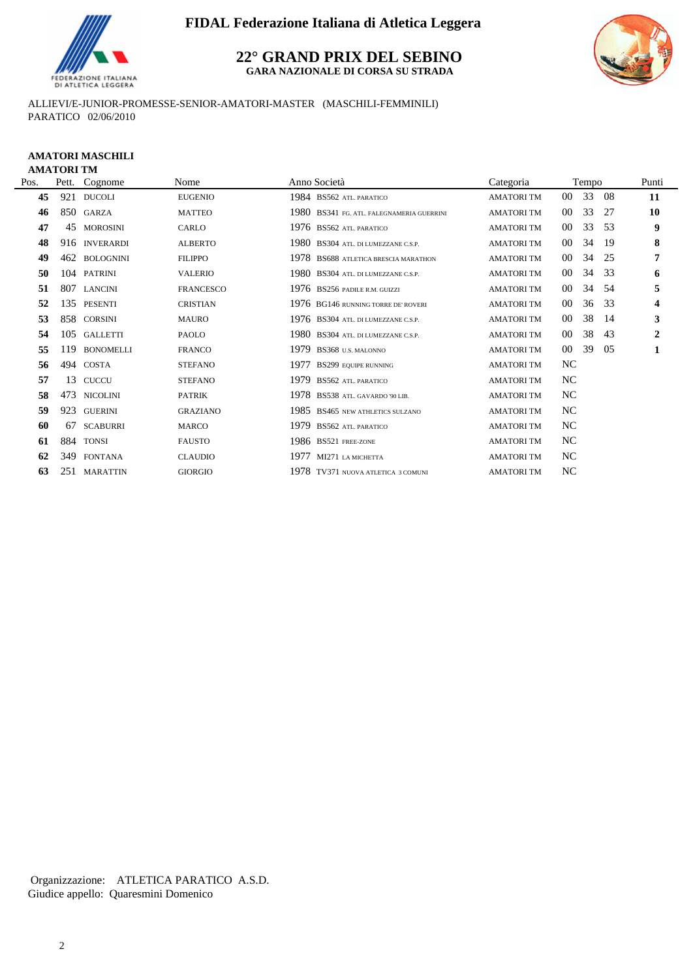

**22° GRAND PRIX DEL SEBINO GARA NAZIONALE DI CORSA SU STRADA**



ALLIEVI/E-JUNIOR-PROMESSE-SENIOR-AMATORI-MASTER (MASCHILI-FEMMINILI) PARATICO 02/06/2010

### **AMATORI MASCHILI AMATORI TM**

| Pos. |     | Pett. Cognome    | Nome             | Anno Società                              | Categoria         |           | Tempo |     | Punti                   |
|------|-----|------------------|------------------|-------------------------------------------|-------------------|-----------|-------|-----|-------------------------|
| 45   | 921 | <b>DUCOLI</b>    | <b>EUGENIO</b>   | 1984 BS562 ATL. PARATICO                  | <b>AMATORITM</b>  | $00\,$    | 33    | -08 | 11                      |
| 46   |     | 850 GARZA        | <b>MATTEO</b>    | 1980 BS341 FG. ATL. FALEGNAMERIA GUERRINI | <b>AMATORITM</b>  | $00\,$    | 33    | 27  | 10                      |
| 47   | 45  | <b>MOROSINI</b>  | CARLO            | 1976 BS562 ATL PARATICO                   | <b>AMATORITM</b>  | $00\,$    | 33    | 53  | 9                       |
| 48   |     | 916 INVERARDI    | <b>ALBERTO</b>   | 1980 BS304 ATL. DI LUMEZZANE C.S.P.       | <b>AMATORITM</b>  | $00\,$    | 34    | 19  | 8                       |
| 49   | 462 | <b>BOLOGNINI</b> | <b>FILIPPO</b>   | 1978 BS688 ATLETICA BRESCIA MARATHON      | <b>AMATORITM</b>  | $00\,$    | 34    | 25  | 7                       |
| 50   |     | 104 PATRINI      | <b>VALERIO</b>   | 1980 BS304 ATL. DI LUMEZZANE C.S.P.       | <b>AMATORITM</b>  | $00\,$    | 34    | 33  | 6                       |
| 51   | 807 | <b>LANCINI</b>   | <b>FRANCESCO</b> | 1976 BS256 PADILE R.M. GUIZZI             | <b>AMATORITM</b>  | $00\,$    | 34    | -54 | 5                       |
| 52   |     | 135 PESENTI      | <b>CRISTIAN</b>  | 1976 BG146 RUNNING TORRE DE' ROVERI       | <b>AMATORITM</b>  | $00\,$    | 36    | 33  | $\overline{\mathbf{4}}$ |
| 53   |     | 858 CORSINI      | <b>MAURO</b>     | 1976 BS304 ATL. DI LUMEZZANE C.S.P.       | <b>AMATORI TM</b> | $00\,$    | 38    | -14 | 3                       |
| 54   |     | 105 GALLETTI     | PAOLO            | 1980 BS304 ATL. DI LUMEZZANE C.S.P.       | <b>AMATORITM</b>  | $00\,$    | 38    | 43  | $\overline{2}$          |
| 55   | 119 | <b>BONOMELLI</b> | <b>FRANCO</b>    | 1979<br>BS368 U.S. MALONNO                | <b>AMATORITM</b>  | $00\,$    | 39    | 05  | 1                       |
| 56   | 494 | COSTA            | <b>STEFANO</b>   | 1977<br><b>BS299 EQUIPE RUNNING</b>       | <b>AMATORITM</b>  | NC        |       |     |                         |
| 57   | 13  | <b>CUCCU</b>     | <b>STEFANO</b>   | 1979<br><b>BS562 ATL. PARATICO</b>        | <b>AMATORITM</b>  | NC        |       |     |                         |
| 58   | 473 | <b>NICOLINI</b>  | <b>PATRIK</b>    | 1978 BS538 ATL. GAVARDO '90 LIB.          | <b>AMATORI TM</b> | NC        |       |     |                         |
| 59   | 923 | <b>GUERINI</b>   | <b>GRAZIANO</b>  | 1985 BS465 NEW ATHLETICS SULZANO          | <b>AMATORI TM</b> | NC        |       |     |                         |
| 60   | 67  | <b>SCABURRI</b>  | <b>MARCO</b>     | 1979<br><b>BS562 ATL. PARATICO</b>        | <b>AMATORI TM</b> | NC        |       |     |                         |
| 61   | 884 | <b>TONSI</b>     | <b>FAUSTO</b>    | 1986 BS521 FREE-ZONE                      | <b>AMATORITM</b>  | NC        |       |     |                         |
| 62   | 349 | <b>FONTANA</b>   | <b>CLAUDIO</b>   | 1977<br>MI271 LA MICHETTA                 | <b>AMATORITM</b>  | NC        |       |     |                         |
| 63   |     | 251 MARATTIN     | <b>GIORGIO</b>   | 1978 TV371 NUOVA ATLETICA 3 COMUNI        | <b>AMATORITM</b>  | <b>NC</b> |       |     |                         |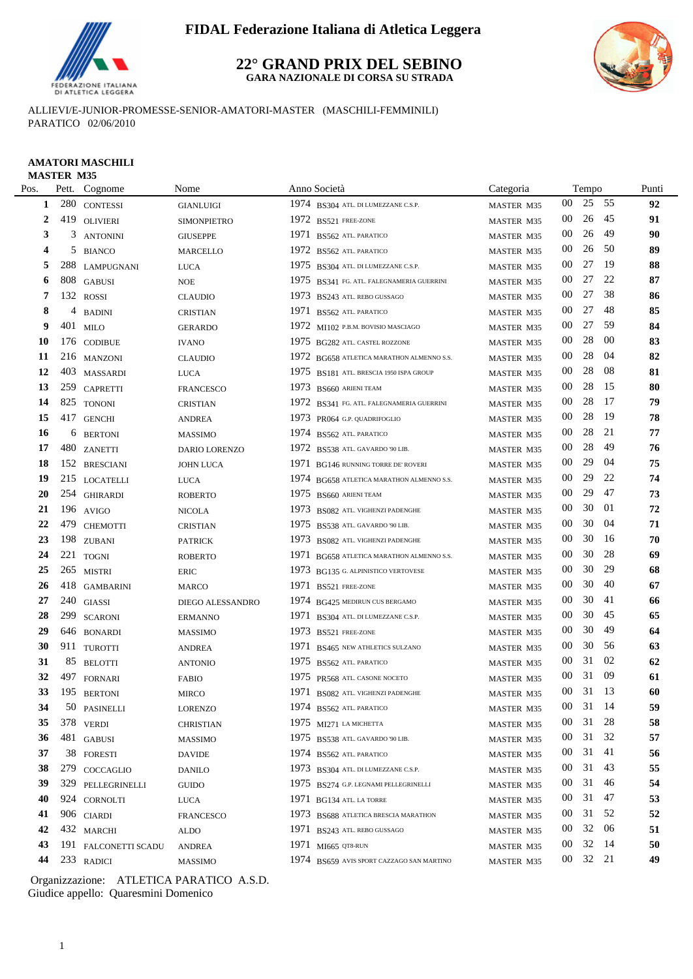

#### **22° GRAND PRIX DEL SEBINO GARA NAZIONALE DI CORSA SU STRADA**



ALLIEVI/E-JUNIOR-PROMESSE-SENIOR-AMATORI-MASTER (MASCHILI-FEMMINILI) PARATICO 02/06/2010

#### **AMATORI MASCHILI MASTER M35**

|           | MASTER M35 |                      |                    |      |                                           |            |        |       |      |       |
|-----------|------------|----------------------|--------------------|------|-------------------------------------------|------------|--------|-------|------|-------|
| Pos.      |            | Pett. Cognome        | Nome               |      | Anno Società                              | Categoria  |        | Tempo |      | Punti |
| 1         |            | 280 CONTESSI         | <b>GIANLUIGI</b>   |      | 1974 BS304 ATL. DI LUMEZZANE C.S.P.       | MASTER M35 | $00\,$ | 25    | 55   | 92    |
| 2         |            | 419 OLIVIERI         | <b>SIMONPIETRO</b> |      | 1972 BS521 FREE-ZONE                      | MASTER M35 | $00\,$ | 26    | 45   | 91    |
| 3         | 3          | <b>ANTONINI</b>      | <b>GIUSEPPE</b>    | 1971 | BS562 ATL. PARATICO                       | MASTER M35 | $00\,$ | 26    | 49   | 90    |
| 4         |            | 5 BIANCO             | <b>MARCELLO</b>    | 1972 | BS562 ATL. PARATICO                       | MASTER M35 | 00     | 26    | 50   | 89    |
| 5         | 288        | <b>LAMPUGNANI</b>    | <b>LUCA</b>        |      | 1975 BS304 ATL. DI LUMEZZANE C.S.P.       | MASTER M35 | $00\,$ | 27    | -19  | 88    |
| 6         |            | 808 GABUSI           | <b>NOE</b>         | 1975 | BS341 FG. ATL. FALEGNAMERIA GUERRINI      | MASTER M35 | $00\,$ | 27    | 22   | 87    |
| 7         |            | 132 ROSSI            | <b>CLAUDIO</b>     |      | 1973 BS243 ATL. REBO GUSSAGO              | MASTER M35 | $00\,$ | 27    | 38   | 86    |
| 8         | 4          | <b>BADINI</b>        | <b>CRISTIAN</b>    |      | 1971 BS562 ATL. PARATICO                  | MASTER M35 | $00\,$ | 27    | 48   | 85    |
| 9         |            | 401 MILO             | <b>GERARDO</b>     |      | 1972 MI102 P.B.M. BOVISIO MASCIAGO        | MASTER M35 | $00\,$ | 27    | 59   | 84    |
| 10        |            | 176 CODIBUE          | <b>IVANO</b>       |      | 1975 BG282 ATL. CASTEL ROZZONE            | MASTER M35 | $00\,$ | 28    | 00   | 83    |
| 11        |            | 216 MANZONI          | <b>CLAUDIO</b>     |      | 1972 BG658 ATLETICA MARATHON ALMENNO S.S. | MASTER M35 | 00     | 28    | 04   | 82    |
| 12        |            | 403 MASSARDI         | <b>LUCA</b>        |      | 1975 BS181 ATL. BRESCIA 1950 ISPA GROUP   | MASTER M35 | 00     | 28    | 08   | 81    |
| 13        |            | 259 CAPRETTI         | <b>FRANCESCO</b>   |      | 1973 BS660 ARIENI TEAM                    | MASTER M35 | $00\,$ | 28    | 15   | 80    |
| 14        |            | 825 TONONI           | <b>CRISTIAN</b>    |      | 1972 BS341 FG. ATL. FALEGNAMERIA GUERRINI | MASTER M35 | 00     | 28    | 17   | 79    |
| 15        |            | 417 GENCHI           | ANDREA             |      | 1973 PR064 G.P. QUADRIFOGLIO              | MASTER M35 | 00     | 28    | -19  | 78    |
| 16        | 6          | <b>BERTONI</b>       | <b>MASSIMO</b>     |      | 1974 BS562 ATL. PARATICO                  | MASTER M35 | 00     | 28    | 21   | 77    |
| 17        |            | 480 ZANETTI          | DARIO LORENZO      |      | 1972 BS538 ATL. GAVARDO '90 LIB.          | MASTER M35 | $00\,$ | 28    | 49   | 76    |
| 18        |            | 152 BRESCIANI        | <b>JOHN LUCA</b>   |      | 1971 BG146 RUNNING TORRE DE' ROVERI       | MASTER M35 | $00\,$ | 29    | 04   | 75    |
| 19        |            | 215 LOCATELLI        | <b>LUCA</b>        |      | 1974 BG658 ATLETICA MARATHON ALMENNO S.S. | MASTER M35 | $00\,$ | 29    | 22   | 74    |
| <b>20</b> |            | 254 GHIRARDI         | <b>ROBERTO</b>     |      | 1975 BS660 ARIENI TEAM                    | MASTER M35 | $00\,$ | 29    | 47   | 73    |
| 21        |            | 196 AVIGO            | <b>NICOLA</b>      |      | 1973 BS082 ATL. VIGHENZI PADENGHE         | MASTER M35 | $00\,$ | 30    | -01  | 72    |
| 22        | 479        | <b>CHEMOTTI</b>      | <b>CRISTIAN</b>    |      | 1975 BS538 ATL. GAVARDO '90 LIB.          | MASTER M35 | $00\,$ | 30    | -04  | 71    |
| 23        |            | 198 ZUBANI           | <b>PATRICK</b>     |      | 1973 BS082 ATL. VIGHENZI PADENGHE         | MASTER M35 | $00\,$ | 30    | 16   | 70    |
| 24        |            | 221 TOGNI            | <b>ROBERTO</b>     |      | 1971 BG658 ATLETICA MARATHON ALMENNO S.S. | MASTER M35 | $00\,$ | 30    | 28   | 69    |
| 25        |            | 265 MISTRI           | <b>ERIC</b>        |      | 1973 BG135 G. ALPINISTICO VERTOVESE       | MASTER M35 | $00\,$ | 30    | 29   | 68    |
| 26        |            | 418 GAMBARINI        | <b>MARCO</b>       |      | 1971 BS521 FREE-ZONE                      | MASTER M35 | 00     | 30    | 40   | 67    |
| 27        |            | $240\,$ GIASSI       | DIEGO ALESSANDRO   |      | 1974 BG425 MEDIRUN CUS BERGAMO            | MASTER M35 | 00     | 30    | -41  | 66    |
| 28        | 299        | <b>SCARONI</b>       | <b>ERMANNO</b>     | 1971 | BS304 ATL. DI LUMEZZANE C.S.P.            | MASTER M35 | 00     | 30    | 45   | 65    |
| 29        |            | 646 BONARDI          | <b>MASSIMO</b>     |      | 1973 BS521 FREE-ZONE                      | MASTER M35 | 00     | 30    | 49   | 64    |
| 30        |            | 911 TUROTTI          | <b>ANDREA</b>      | 1971 | BS465 NEW ATHLETICS SULZANO               | MASTER M35 | $00\,$ | 30    | 56   | 63    |
| 31        | 85         | <b>BELOTTI</b>       | <b>ANTONIO</b>     |      | 1975 BS562 ATL PARATICO                   | MASTER M35 | 00     | 31    | 02   | 62    |
| 32        |            | 497 FORNARI          | <b>FABIO</b>       |      | 1975 PR568 ATL CASONE NOCETO              | MASTER M35 | 00     | 31    | -09  | 61    |
| 33        |            | 195 BERTONI          | <b>MIRCO</b>       |      | 1971 BS082 ATL. VIGHENZI PADENGHE         | MASTER M35 | $00\,$ | 31    | - 13 | 60    |
| 34        |            | 50 PASINELLI         | <b>LORENZO</b>     |      | 1974 BS562 ATL. PARATICO                  | MASTER M35 | $00\,$ | 31    | - 14 | 59    |
| 35        |            | 378 VERDI            | <b>CHRISTIAN</b>   |      | 1975 $M1271$ LA MICHETTA                  | MASTER M35 | $00\,$ | 31    | 28   | 58    |
| 36        |            | 481 GABUSI           | <b>MASSIMO</b>     |      | 1975 BS538 ATL. GAVARDO '90 LIB.          | MASTER M35 | 00     | 31    | 32   | 57    |
| 37        |            | 38 FORESTI           | <b>DAVIDE</b>      |      | $1974$ BS562 ATL PARATICO                 | MASTER M35 | 00     | 31    | - 41 | 56    |
| 38        | 279        | COCCAGLIO            | <b>DANILO</b>      |      | 1973 BS304 ATL. DI LUMEZZANE C.S.P.       | MASTER M35 | 00     | 31    | 43   | 55    |
| 39        | 329        | PELLEGRINELLI        | GUIDO              |      | 1975 BS274 G.P. LEGNAMI PELLEGRINELLI     | MASTER M35 | $00\,$ | 31    | 46   | 54    |
| 40        |            | 924 CORNOLTI         | <b>LUCA</b>        |      | $1971$ BG134 ATL. LA TORRE                | MASTER M35 | $00\,$ | 31    | 47   | 53    |
| 41        |            | 906 CIARDI           | <b>FRANCESCO</b>   |      | 1973 BS688 ATLETICA BRESCIA MARATHON      | MASTER M35 | 00     | 31 52 |      | 52    |
| 42        |            | 432 MARCHI           | ALDO               |      | 1971 BS243 ATL. REBO GUSSAGO              | MASTER M35 | 00     | 32    | 06   | 51    |
| 43        |            | 191 FALCONETTI SCADU | <b>ANDREA</b>      |      | 1971 MI665 QT8-RUN                        | MASTER M35 | 00     | 32    | -14  | 50    |
| 44        |            | 233 RADICI           | MASSIMO            |      | 1974 BS659 AVIS SPORT CAZZAGO SAN MARTINO | MASTER M35 | $00\,$ | 32 21 |      | 49    |
|           |            |                      |                    |      |                                           |            |        |       |      |       |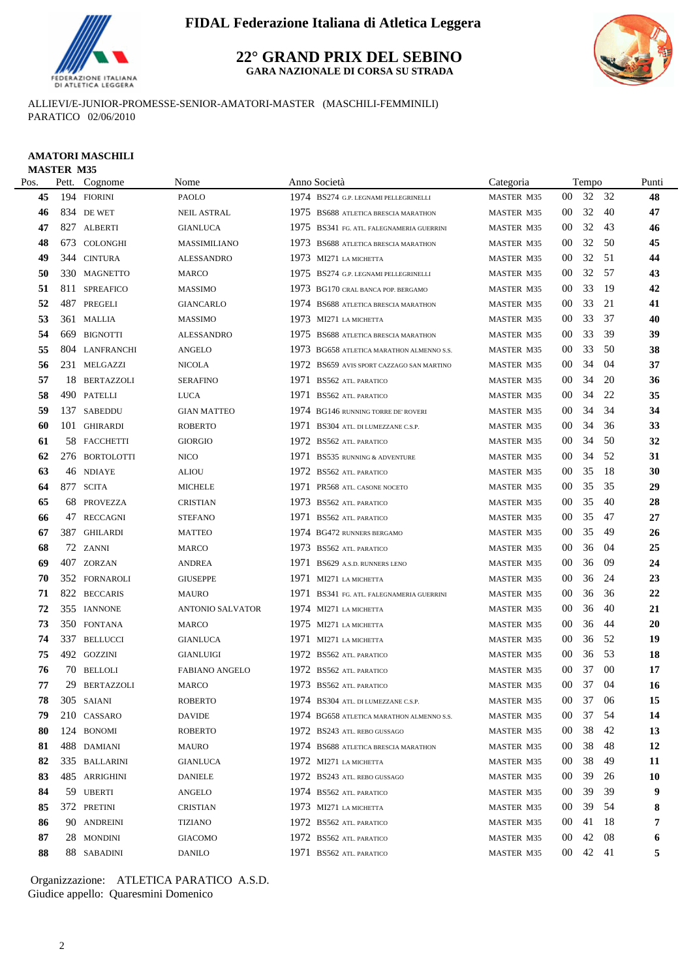

**22° GRAND PRIX DEL SEBINO GARA NAZIONALE DI CORSA SU STRADA**

ALLIEVI/E-JUNIOR-PROMESSE-SENIOR-AMATORI-MASTER (MASCHILI-FEMMINILI) PARATICO 02/06/2010

### **AMATORI MASCHILI** MASTER M35

| Pos. | Pett. Cognome  | Nome                    | Anno Società                                 | Categoria         |                 | Tempo |      | Punti     |
|------|----------------|-------------------------|----------------------------------------------|-------------------|-----------------|-------|------|-----------|
| 45   | 194 FIORINI    | PAOLO                   | 1974 BS274 G.P. LEGNAMI PELLEGRINELLI        | MASTER M35        | 00              | 32 32 |      | 48        |
| 46   | 834 DE WET     | <b>NEIL ASTRAL</b>      | 1975 BS688 ATLETICA BRESCIA MARATHON         | MASTER M35        | 00              | 32    | -40  | 47        |
| 47   | 827 ALBERTI    | <b>GIANLUCA</b>         | 1975 BS341 FG. ATL. FALEGNAMERIA GUERRINI    | <b>MASTER M35</b> | 00              | 32    | 43   | 46        |
| 48   | 673 COLONGHI   | MASSIMILIANO            | 1973 BS688 ATLETICA BRESCIA MARATHON         | MASTER M35        | 00              | 32    | 50   | 45        |
| 49   | 344 CINTURA    | <b>ALESSANDRO</b>       | 1973 MI271 LA MICHETTA                       | MASTER M35        | 00              | 32    | - 51 | 44        |
| 50   | 330 MAGNETTO   | MARCO                   | 1975 BS274 G.P. LEGNAMI PELLEGRINELLI        | <b>MASTER M35</b> | 00              | 32    | -57  | 43        |
| 51   | 811 SPREAFICO  | <b>MASSIMO</b>          | 1973 BG170 CRAL BANCA POP. BERGAMO           | <b>MASTER M35</b> | 00              | 33    | -19  | 42        |
| 52   | 487 PREGELI    | <b>GIANCARLO</b>        | 1974 BS688 ATLETICA BRESCIA MARATHON         | <b>MASTER M35</b> | 00              | 33    | 21   | 41        |
| 53   | 361 MALLIA     | <b>MASSIMO</b>          | 1973 MI271 LA MICHETTA                       | MASTER M35        | 00              | 33    | -37  | 40        |
| 54   | 669 BIGNOTTI   | <b>ALESSANDRO</b>       | 1975 BS688 ATLETICA BRESCIA MARATHON         | <b>MASTER M35</b> | $00\,$          | 33    | 39   | 39        |
| 55   | 804 LANFRANCHI | <b>ANGELO</b>           | 1973 BG658 ATLETICA MARATHON ALMENNO S.S.    | MASTER M35        | 00              | 33    | -50  | 38        |
| 56   | 231 MELGAZZI   | <b>NICOLA</b>           | 1972<br>BS659 AVIS SPORT CAZZAGO SAN MARTINO | <b>MASTER M35</b> | 00              | 34    | 04   | 37        |
| 57   | 18 BERTAZZOLI  | <b>SERAFINO</b>         | 1971 BS562 ATL. PARATICO                     | MASTER M35        | $00\,$          | 34    | 20   | 36        |
| 58   | 490 PATELLI    | LUCA                    | 1971 BS562 ATL. PARATICO                     | MASTER M35        | $00\,$          | 34    | 22   | 35        |
| 59   | 137 SABEDDU    | <b>GIAN MATTEO</b>      | 1974 BG146 RUNNING TORRE DE' ROVERI          | MASTER M35        | 00              | 34    | 34   | 34        |
| 60   | 101 GHIRARDI   | <b>ROBERTO</b>          | 1971 BS304 ATL. DI LUMEZZANE C.S.P.          | MASTER M35        | 00              | 34    | 36   | 33        |
| 61   | 58 FACCHETTI   | <b>GIORGIO</b>          | 1972<br><b>BS562 ATL. PARATICO</b>           | MASTER M35        | 00              | 34    | -50  | 32        |
| 62   | 276 BORTOLOTTI | <b>NICO</b>             | 1971 BS535 RUNNING & ADVENTURE               | MASTER M35        | 00              | 34    | 52   | 31        |
| 63   | 46 NDIAYE      | <b>ALIOU</b>            | 1972 BS562 ATL. PARATICO                     | <b>MASTER M35</b> | $00\,$          | 35    | -18  | 30        |
| 64   | 877 SCITA      | <b>MICHELE</b>          | 1971 PR568 ATL. CASONE NOCETO                | MASTER M35        | 00              | 35    | 35   | 29        |
| 65   | 68 PROVEZZA    | <b>CRISTIAN</b>         | 1973 BS562 ATL. PARATICO                     | MASTER M35        | $00\,$          | 35    | 40   | 28        |
| 66   | 47 RECCAGNI    | <b>STEFANO</b>          | 1971 BS562 ATL. PARATICO                     | MASTER M35        | 00              | 35    | 47   | 27        |
| 67   | 387 GHILARDI   | <b>MATTEO</b>           | 1974 BG472 RUNNERS BERGAMO                   | <b>MASTER M35</b> | 00              | 35    | -49  | 26        |
| 68   | 72 ZANNI       | <b>MARCO</b>            | 1973 BS562 ATL. PARATICO                     | MASTER M35        | $00\,$          | 36    | -04  | 25        |
| 69   | 407 ZORZAN     | <b>ANDREA</b>           | 1971 BS629 A.S.D. RUNNERS LENO               | MASTER M35        | $00\,$          | 36    | 09   | 24        |
| 70   | 352 FORNAROLI  | <b>GIUSEPPE</b>         | 1971 MI271 LA MICHETTA                       | MASTER M35        | 00              | 36    | -24  | 23        |
| 71   | 822 BECCARIS   | <b>MAURO</b>            | 1971 BS341 FG. ATL. FALEGNAMERIA GUERRINI    | MASTER M35        | 00              | 36    | 36   | 22        |
| 72   | 355 IANNONE    | <b>ANTONIO SALVATOR</b> | 1974 MI271 LA MICHETTA                       | MASTER M35        | 00              | 36    | 40   | 21        |
| 73   | 350 FONTANA    | MARCO                   | 1975 MI271 LA MICHETTA                       | MASTER M35        | 00              | 36    | 44   | 20        |
| 74   | 337 BELLUCCI   | <b>GIANLUCA</b>         | 1971 MI271 LA MICHETTA                       | MASTER M35        | $00\,$          | 36    | -52  | 19        |
| 75   | 492 GOZZINI    | <b>GIANLUIGI</b>        | 1972 BS562 ATL. PARATICO                     | MASTER M35        | 00              | 36    | -53  | 18        |
| 76   | 70 BELLOLI     | <b>FABIANO ANGELO</b>   | 1972 BS562 ATL. PARATICO                     | <b>MASTER M35</b> | 00              | 37    | -00  | 17        |
| 77   | 29 BERTAZZOLI  | MARCO                   | 1973 BS562 ATL PARATICO                      | MASTER M35        | 00              | 37    | -04  | 16        |
| 78   | 305 SAIANI     | ROBERTO                 | 1974 BS304 ATL. DI LUMEZZANE C.S.P.          | MASTER M35        | $00\,$          | 37 06 |      | 15        |
| 79   | 210 CASSARO    | DAVIDE                  | 1974 BG658 ATLETICA MARATHON ALMENNO S.S.    | <b>MASTER M35</b> | 00              | 37    | - 54 | 14        |
| 80   | 124 BONOMI     | <b>ROBERTO</b>          | 1972 BS243 ATL. REBO GUSSAGO                 | MASTER M35        | $00\,$          | 38    | 42   | 13        |
| 81   | 488 DAMIANI    | MAURO                   | 1974 BS688 ATLETICA BRESCIA MARATHON         | MASTER M35        | $00\,$          | 38    | 48   | 12        |
| 82   | 335 BALLARINI  | <b>GIANLUCA</b>         | 1972 MI271 LA MICHETTA                       | MASTER M35        | $00\,$          | 38    | 49   | 11        |
| 83   | 485 ARRIGHINI  | <b>DANIELE</b>          | 1972 BS243 ATL. REBO GUSSAGO                 | MASTER M35        | $00\,$          | 39    | 26   | <b>10</b> |
| 84   | 59 UBERTI      | ANGELO                  | 1974 BS562 ATL. PARATICO                     | MASTER M35        | 00              | 39    | 39   | 9         |
| 85   | 372 PRETINI    | <b>CRISTIAN</b>         | 1973 MI271 LA MICHETTA                       | MASTER M35        | 00              | 39    | -54  | 8         |
| 86   | 90 ANDREINI    | <b>TIZIANO</b>          | 1972 BS562 ATL. PARATICO                     | MASTER M35        | $00\,$          | 41    | -18  | 7         |
| 87   | 28 MONDINI     | <b>GIACOMO</b>          | 1972 BS562 ATL. PARATICO                     | MASTER M35        | $00\,$          | 42    | 08   | 6         |
| 88   | 88 SABADINI    | <b>DANILO</b>           | 1971 BS562 ATL. PARATICO                     | MASTER M35        | 00 <sup>1</sup> | 42 41 |      | 5         |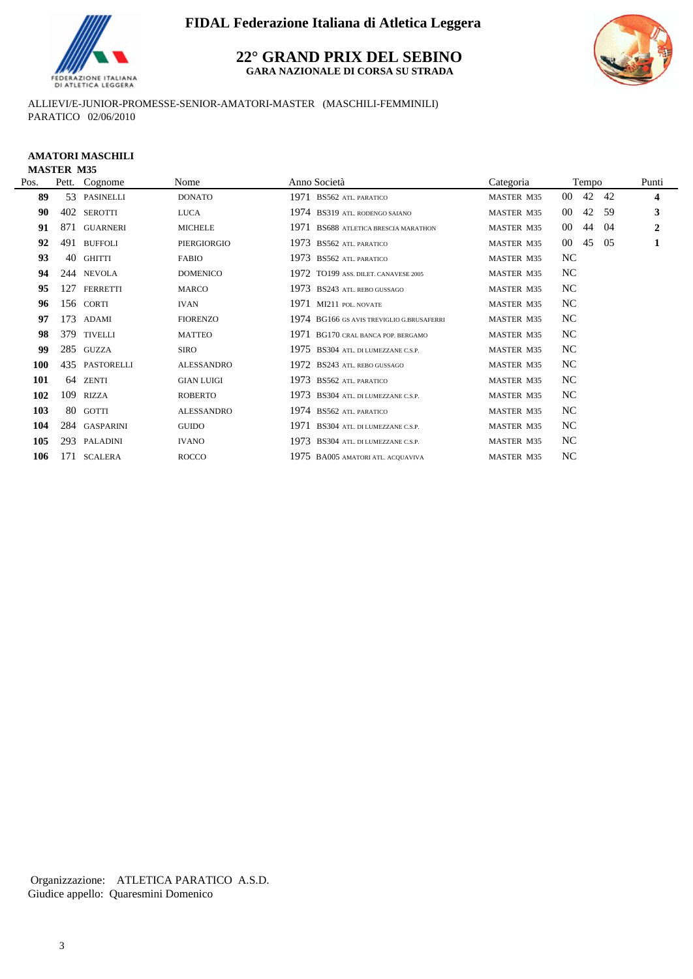

**22° GRAND PRIX DEL SEBINO GARA NAZIONALE DI CORSA SU STRADA**



ALLIEVI/E-JUNIOR-PROMESSE-SENIOR-AMATORI-MASTER (MASCHILI-FEMMINILI) PARATICO 02/06/2010

#### **AMATORI MASCHILI MASTER M35**

| Pos. | Pett. | Cognome         | Nome              | Anno Società                              | Categoria  |           | Tempo |     | Punti                   |
|------|-------|-----------------|-------------------|-------------------------------------------|------------|-----------|-------|-----|-------------------------|
| 89   |       | 53 PASINELLI    | <b>DONATO</b>     | 1971 BS562 ATL. PARATICO                  | MASTER M35 | $00\,$    | 42    | -42 | $\overline{\mathbf{4}}$ |
| 90   | 402   | SEROTTI         | <b>LUCA</b>       | 1974 BS319 ATL. RODENGO SAIANO            | MASTER M35 | $00\,$    | 42    | 59  | $\mathbf{3}$            |
| 91   | 871   | <b>GUARNERI</b> | <b>MICHELE</b>    | 1971 BS688 ATLETICA BRESCIA MARATHON      | MASTER M35 | $00\,$    | 44    | -04 | $\overline{2}$          |
| 92   | 491   | <b>BUFFOLI</b>  | PIERGIORGIO       | 1973 BS562 ATL. PARATICO                  | MASTER M35 | $00\,$    | 45    | -05 | 1                       |
| 93   | 40    | <b>GHITTI</b>   | <b>FABIO</b>      | 1973 BS562 ATL. PARATICO                  | MASTER M35 | NC        |       |     |                         |
| 94   |       | 244 NEVOLA      | <b>DOMENICO</b>   | 1972 TO199 ASS. DILET. CANAVESE 2005      | MASTER M35 | NC        |       |     |                         |
| 95   | 127   | FERRETTI        | <b>MARCO</b>      | 1973 BS243 ATL. REBO GUSSAGO              | MASTER M35 | NC        |       |     |                         |
| 96   |       | 156 CORTI       | <b>IVAN</b>       | 1971 MI211 POL. NOVATE                    | MASTER M35 | NC        |       |     |                         |
| 97   | 173   | ADAMI           | <b>FIORENZO</b>   | 1974 BG166 GS AVIS TREVIGLIO G.BRUSAFERRI | MASTER M35 | NC        |       |     |                         |
| 98   |       | 379 TIVELLI     | <b>MATTEO</b>     | 1971 BG170 CRAL BANCA POP. BERGAMO        | MASTER M35 | <b>NC</b> |       |     |                         |
| 99   |       | 285 GUZZA       | <b>SIRO</b>       | 1975 BS304 ATL. DI LUMEZZANE C.S.P.       | MASTER M35 | NC        |       |     |                         |
| 100  |       | 435 PASTORELLI  | ALESSANDRO        | 1972 BS243 ATL. REBO GUSSAGO              | MASTER M35 | NC        |       |     |                         |
| 101  |       | 64 ZENTI        | <b>GIAN LUIGI</b> | 1973 BS562 ATL PARATICO                   | MASTER M35 | NC        |       |     |                         |
| 102  | 109   | RIZZA           | <b>ROBERTO</b>    | 1973 BS304 ATL. DI LUMEZZANE C.S.P.       | MASTER M35 | NC        |       |     |                         |
| 103  |       | 80 GOTTI        | <b>ALESSANDRO</b> | 1974 BS562 ATL PARATICO                   | MASTER M35 | NC        |       |     |                         |
| 104  |       | 284 GASPARINI   | <b>GUIDO</b>      | 1971 BS304 ATL. DI LUMEZZANE C.S.P.       | MASTER M35 | NC        |       |     |                         |
| 105  |       | 293 PALADINI    | <b>IVANO</b>      | 1973 BS304 ATL. DI LUMEZZANE C.S.P.       | MASTER M35 | <b>NC</b> |       |     |                         |
| 106  |       | 171 SCALERA     | <b>ROCCO</b>      | 1975 BA005 AMATORI ATL. ACQUAVIVA         | MASTER M35 | NC        |       |     |                         |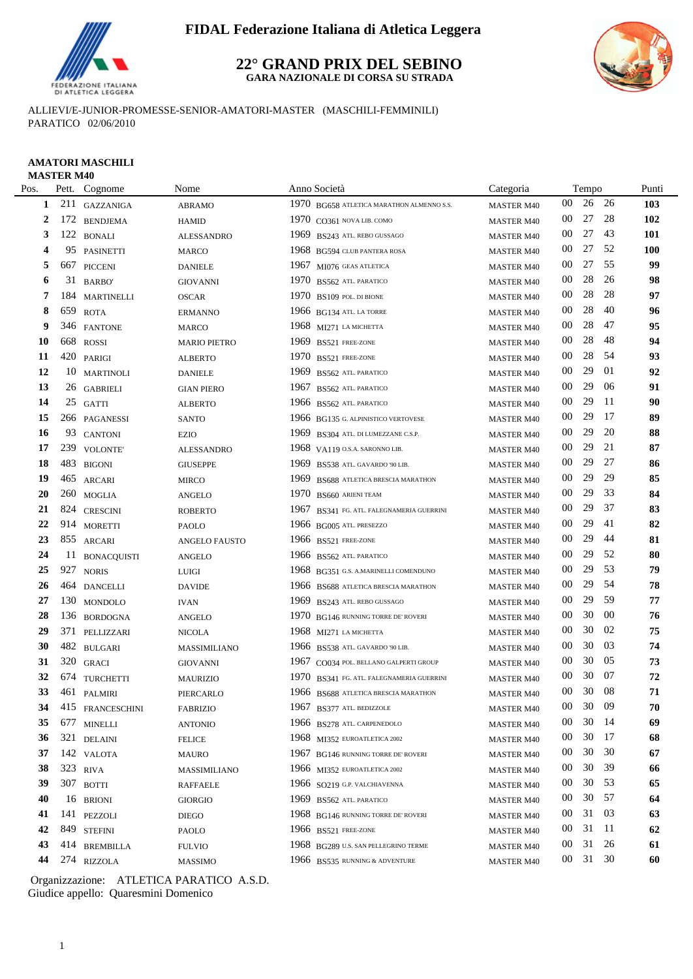

#### **22° GRAND PRIX DEL SEBINO GARA NAZIONALE DI CORSA SU STRADA**



ALLIEVI/E-JUNIOR-PROMESSE-SENIOR-AMATORI-MASTER (MASCHILI-FEMMINILI) PARATICO 02/06/2010

## **AMATORI MASCHILI**

|      | <b>MASTER M40</b> |                    |                     |      |                                           |                   |        |       |      |            |
|------|-------------------|--------------------|---------------------|------|-------------------------------------------|-------------------|--------|-------|------|------------|
| Pos. |                   | Pett. Cognome      | Nome                |      | Anno Società                              | Categoria         |        | Tempo |      | Punti      |
| 1    |                   | 211 GAZZANIGA      | <b>ABRAMO</b>       |      | 1970 BG658 ATLETICA MARATHON ALMENNO S.S. | <b>MASTER M40</b> | 00     | 26    | - 26 | 103        |
| 2    | 172               | <b>BENDJEMA</b>    | <b>HAMID</b>        |      | 1970 CO361 NOVA LIB. COMO                 | <b>MASTER M40</b> | $00\,$ | 27    | 28   | 102        |
| 3    | 122               | <b>BONALI</b>      | <b>ALESSANDRO</b>   |      | 1969 BS243 ATL. REBO GUSSAGO              | <b>MASTER M40</b> | $00\,$ | 27    | 43   | <b>101</b> |
| 4    | 95                | <b>PASINETTI</b>   | MARCO               |      | 1968 BG594 CLUB PANTERA ROSA              | <b>MASTER M40</b> | 00     | 27    | 52   | <b>100</b> |
| 5    | 667               | <b>PICCENI</b>     | <b>DANIELE</b>      |      | 1967 MI076 GEAS ATLETICA                  | <b>MASTER M40</b> | 00     | 27    | 55   | 99         |
| 6    | 31                | <b>BARBO</b>       | <b>GIOVANNI</b>     |      | 1970 BS562 ATL PARATICO                   | <b>MASTER M40</b> | 00     | 28    | 26   | 98         |
| 7    | 184               | <b>MARTINELLI</b>  | <b>OSCAR</b>        |      | 1970 BS109 POL. DI BIONE                  | <b>MASTER M40</b> | $00\,$ | 28    | 28   | 97         |
| 8    | 659               | <b>ROTA</b>        | <b>ERMANNO</b>      |      | 1966 BG134 ATL. LA TORRE                  | <b>MASTER M40</b> | 00     | 28    | 40   | 96         |
| 9    | 346               | <b>FANTONE</b>     | <b>MARCO</b>        |      | 1968 MI271 LA MICHETTA                    | <b>MASTER M40</b> | 00     | 28    | 47   | 95         |
| 10   | 668               | <b>ROSSI</b>       | <b>MARIO PIETRO</b> | 1969 | BS521 FREE-ZONE                           | <b>MASTER M40</b> | 00     | 28    | 48   | 94         |
| 11   |                   | 420 PARIGI         | <b>ALBERTO</b>      | 1970 | BS521 FREE-ZONE                           | <b>MASTER M40</b> | 00     | 28    | 54   | 93         |
| 12   |                   | 10 MARTINOLI       | <b>DANIELE</b>      | 1969 | BS562 ATL. PARATICO                       | <b>MASTER M40</b> | 00     | 29    | 01   | 92         |
| 13   |                   | 26 GABRIELI        | <b>GIAN PIERO</b>   | 1967 | BS562 ATL. PARATICO                       | <b>MASTER M40</b> | $00\,$ | 29    | 06   | 91         |
| 14   |                   | 25 GATTI           | <b>ALBERTO</b>      |      | 1966 BS562 ATL. PARATICO                  | <b>MASTER M40</b> | $00\,$ | 29    | 11   | 90         |
| 15   |                   | 266 PAGANESSI      | <b>SANTO</b>        |      | 1966 BG135 G. ALPINISTICO VERTOVESE       | <b>MASTER M40</b> | $00\,$ | 29    | 17   | 89         |
| 16   | 93                | <b>CANTONI</b>     | EZIO                |      | 1969 BS304 ATL. DI LUMEZZANE C.S.P.       | <b>MASTER M40</b> | $00\,$ | 29    | 20   | 88         |
| 17   | 239               | <b>VOLONTE'</b>    | <b>ALESSANDRO</b>   |      | 1968 VA119 O.S.A. SARONNO LIB.            | <b>MASTER M40</b> | $00\,$ | 29    | 21   | 87         |
| 18   |                   | 483 BIGONI         | <b>GIUSEPPE</b>     |      | 1969 BS538 ATL. GAVARDO '90 LIB.          | <b>MASTER M40</b> | $00\,$ | 29    | 27   | 86         |
| 19   |                   | 465 ARCARI         | <b>MIRCO</b>        |      | 1969 BS688 ATLETICA BRESCIA MARATHON      | <b>MASTER M40</b> | $00\,$ | 29    | 29   | 85         |
| 20   | 260               | <b>MOGLIA</b>      | <b>ANGELO</b>       | 1970 | BS660 ARIENI TEAM                         | <b>MASTER M40</b> | 00     | 29    | 33   | 84         |
| 21   |                   | 824 CRESCINI       | <b>ROBERTO</b>      | 1967 | BS341 FG. ATL. FALEGNAMERIA GUERRINI      | <b>MASTER M40</b> | $00\,$ | 29    | 37   | 83         |
| 22   |                   | 914 MORETTI        | PAOLO               |      | 1966 BG005 ATL. PRESEZZO                  | <b>MASTER M40</b> | 00     | 29    | 41   | 82         |
| 23   |                   | 855 ARCARI         | ANGELO FAUSTO       |      | 1966 BS521 FREE-ZONE                      | <b>MASTER M40</b> | 00     | 29    | 44   | 81         |
| 24   | 11                | <b>BONACQUISTI</b> | <b>ANGELO</b>       |      | 1966 BS562 ATL PARATICO                   | <b>MASTER M40</b> | $00\,$ | 29    | 52   | 80         |
| 25   | 927               | <b>NORIS</b>       | <b>LUIGI</b>        |      | 1968 BG351 G.S. A.MARINELLI COMENDUNO     | <b>MASTER M40</b> | $00\,$ | 29    | 53   | 79         |
| 26   | 464               | <b>DANCELLI</b>    | <b>DAVIDE</b>       |      | 1966 BS688 ATLETICA BRESCIA MARATHON      | <b>MASTER M40</b> | $00\,$ | 29    | 54   | 78         |
| 27   |                   | 130 MONDOLO        | <b>IVAN</b>         |      | 1969 BS243 ATL. REBO GUSSAGO              | <b>MASTER M40</b> | $00\,$ | 29    | 59   | 77         |
| 28   |                   | 136 BORDOGNA       | <b>ANGELO</b>       |      | 1970 BG146 RUNNING TORRE DE' ROVERI       | <b>MASTER M40</b> | $00\,$ | 30    | 00   | 76         |
| 29   |                   | 371 PELLIZZARI     | <b>NICOLA</b>       |      | 1968 MI271 LA MICHETTA                    | <b>MASTER M40</b> | $00\,$ | 30    | 02   | 75         |
| 30   |                   | 482 BULGARI        | MASSIMILIANO        |      | 1966 BS538 ATL. GAVARDO '90 LIB.          | <b>MASTER M40</b> | 00     | 30    | 03   | 74         |
| 31   |                   | 320 GRACI          | <b>GIOVANNI</b>     |      | 1967 CO034 POL. BELLANO GALPERTI GROUP    | <b>MASTER M40</b> | 00     | 30    | 05   | 73         |
| 32   |                   | 674 TURCHETTI      | <b>MAURIZIO</b>     |      | 1970 BS341 FG. ATL. FALEGNAMERIA GUERRINI | <b>MASTER M40</b> | 00     | 30    | 07   | 72         |
| 33   | 461               | PALMIRI            | PIERCARLO           |      | 1966 BS688 ATLETICA BRESCIA MARATHON      | MASTER M40        | $00\,$ | 30    | 08   | 71         |
| 34   |                   | 415 FRANCESCHINI   | <b>FABRIZIO</b>     |      | 1967 BS377 ATL. BEDIZZOLE                 | <b>MASTER M40</b> | $00\,$ | 30    | -09  | 70         |
| 35   |                   | 677 MINELLI        | <b>ANTONIO</b>      |      | 1966 BS278 ATL. CARPENEDOLO               | <b>MASTER M40</b> | 00     | 30    | -14  | 69         |
| 36   |                   | 321 DELAINI        | <b>FELICE</b>       |      | 1968 MI352 EUROATLETICA 2002              | <b>MASTER M40</b> | 00     | 30    | -17  | 68         |
| 37   |                   | 142 VALOTA         | <b>MAURO</b>        |      | 1967 BG146 RUNNING TORRE DE' ROVERI       | <b>MASTER M40</b> | 00     | 30    | 30   | 67         |
| 38   |                   | 323 RIVA           | MASSIMILIANO        |      | 1966 MI352 EUROATLETICA 2002              | <b>MASTER M40</b> | 00     | 30    | 39   | 66         |
| 39   |                   | 307 BOTTI          | <b>RAFFAELE</b>     |      | 1966 SO219 G.P. VALCHIAVENNA              | <b>MASTER M40</b> | 00     | 30    | 53   | 65         |
| 40   |                   | 16 BRIONI          | <b>GIORGIO</b>      |      | 1969 BS562 ATL. PARATICO                  | <b>MASTER M40</b> | 00     | 30    | 57   | 64         |
| 41   |                   | 141 PEZZOLI        | <b>DIEGO</b>        |      | 1968 BG146 RUNNING TORRE DE' ROVERI       | <b>MASTER M40</b> | $00\,$ | 31    | 03   | 63         |
| 42   |                   | 849 STEFINI        | PAOLO               |      | 1966 BS521 FREE-ZONE                      | <b>MASTER M40</b> | 00     | 31    | - 11 | 62         |
| 43   |                   | 414 BREMBILLA      | <b>FULVIO</b>       |      | 1968 BG289 U.S. SAN PELLEGRINO TERME      | <b>MASTER M40</b> | 00     | 31    | 26   | 61         |
| 44   |                   | 274 RIZZOLA        | <b>MASSIMO</b>      |      | 1966 BS535 RUNNING & ADVENTURE            | <b>MASTER M40</b> | 00     | 31 30 |      | 60         |
|      |                   |                    |                     |      |                                           |                   |        |       |      |            |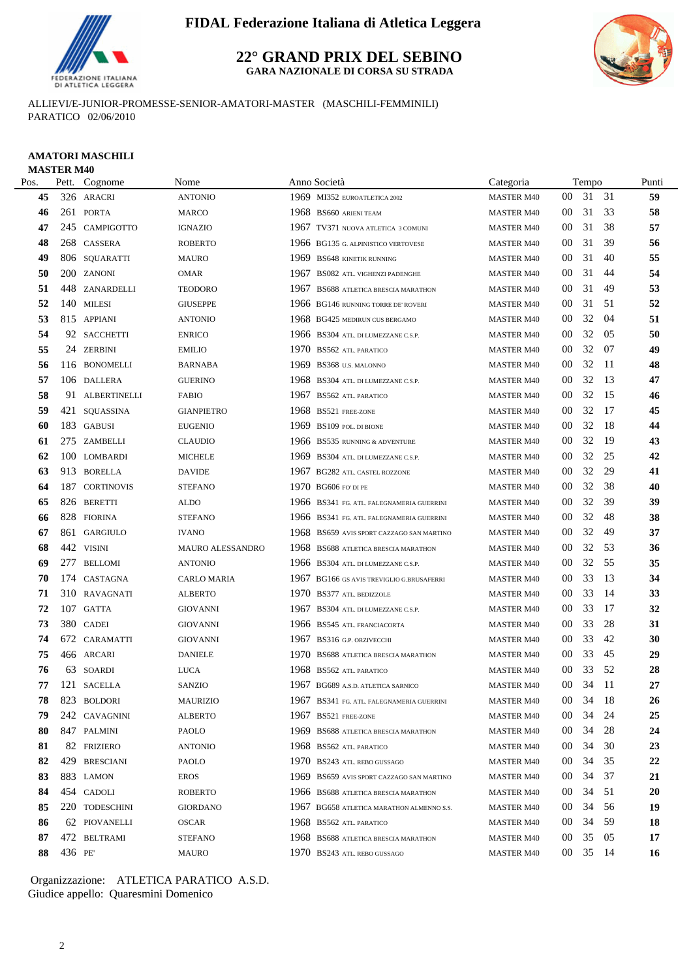

**22° GRAND PRIX DEL SEBINO GARA NAZIONALE DI CORSA SU STRADA**



ALLIEVI/E-JUNIOR-PROMESSE-SENIOR-AMATORI-MASTER (MASCHILI-FEMMINILI) PARATICO 02/06/2010

## **AMATORI MASCHILI MASTER M40**<br>Pos Pett Cognome No

| Pos. | Pett.  | Cognome         | Nome              |      | Anno Società                              | Categoria         |                 | Tempo    |      | Punti     |
|------|--------|-----------------|-------------------|------|-------------------------------------------|-------------------|-----------------|----------|------|-----------|
| 45   |        | 326 ARACRI      | <b>ANTONIO</b>    |      | 1969 MI352 EUROATLETICA 2002              | <b>MASTER M40</b> | 00              | 31 31    |      | 59        |
| 46   |        | 261 PORTA       | <b>MARCO</b>      |      | 1968 BS660 ARIENI TEAM                    | <b>MASTER M40</b> | 00              | 31       | -33  | 58        |
| 47   |        | 245 CAMPIGOTTO  | <b>IGNAZIO</b>    |      | 1967 TV371 NUOVA ATLETICA 3 COMUNI        | <b>MASTER M40</b> | 00              | 31       | 38   | 57        |
| 48   |        | 268 CASSERA     | <b>ROBERTO</b>    |      | 1966 BG135 G. ALPINISTICO VERTOVESE       | <b>MASTER M40</b> | 00              | 31       | 39   | 56        |
| 49   |        | 806 SQUARATTI   | <b>MAURO</b>      | 1969 | <b>BS648 KINETIK RUNNING</b>              | <b>MASTER M40</b> | 00              | 31       | 40   | 55        |
| 50   |        | 200 ZANONI      | <b>OMAR</b>       | 1967 | <b>BS082 ATL. VIGHENZI PADENGHE</b>       | <b>MASTER M40</b> | 00              | 31       | 44   | 54        |
| 51   |        | 448 ZANARDELLI  | <b>TEODORO</b>    | 1967 | BS688 ATLETICA BRESCIA MARATHON           | <b>MASTER M40</b> | 00              | 31       | 49   | 53        |
| 52   |        | 140 MILESI      | <b>GIUSEPPE</b>   |      | 1966 BG146 RUNNING TORRE DE' ROVERI       | <b>MASTER M40</b> | 00              | 31       | -51  | 52        |
| 53   |        | 815 APPIANI     | <b>ANTONIO</b>    |      | 1968 BG425 MEDIRUN CUS BERGAMO            | <b>MASTER M40</b> | 00              | 32       | 04   | 51        |
| 54   |        | 92 SACCHETTI    | <b>ENRICO</b>     |      | 1966 BS304 ATL. DI LUMEZZANE C.S.P.       | <b>MASTER M40</b> | 00              | 32       | -05  | 50        |
| 55   |        | 24 ZERBINI      | <b>EMILIO</b>     |      | 1970 BS562 ATL. PARATICO                  | <b>MASTER M40</b> | 00              | 32       | -07  | 49        |
| 56   |        | 116 BONOMELLI   | <b>BARNABA</b>    | 1969 | BS368 U.S. MALONNO                        | <b>MASTER M40</b> | 00              | 32       | -11  | 48        |
| 57   |        | 106 DALLERA     | <b>GUERINO</b>    |      | 1968 BS304 ATL. DI LUMEZZANE C.S.P.       | <b>MASTER M40</b> | 00              | 32       | -13  | 47        |
| 58   |        | 91 ALBERTINELLI | <b>FABIO</b>      | 1967 | <b>BS562 ATL. PARATICO</b>                | <b>MASTER M40</b> | 00              | 32       | 15   | 46        |
| 59   |        | 421 SQUASSINA   | <b>GIANPIETRO</b> |      | 1968 BS521 FREE-ZONE                      | <b>MASTER M40</b> | 00              | 32       | 17   | 45        |
| 60   |        | 183 GABUSI      | <b>EUGENIO</b>    | 1969 | BS109 POL. DI BIONE                       | <b>MASTER M40</b> | 00              | 32       | -18  | 44        |
| 61   |        | 275 ZAMBELLI    | <b>CLAUDIO</b>    |      | 1966 BS535 RUNNING & ADVENTURE            | <b>MASTER M40</b> | 00              | 32       | 19   | 43        |
| 62   |        | 100 LOMBARDI    | MICHELE           |      | 1969 BS304 ATL. DI LUMEZZANE C.S.P.       | <b>MASTER M40</b> | 00              | 32       | 25   | 42        |
| 63   |        | 913 BORELLA     | <b>DAVIDE</b>     |      | 1967 BG282 ATL. CASTEL ROZZONE            | <b>MASTER M40</b> | 00              | 32       | 29   | 41        |
| 64   |        | 187 CORTINOVIS  | <b>STEFANO</b>    |      | 1970 BG606 FO' DI PE                      | <b>MASTER M40</b> | 00              | 32       | 38   | 40        |
| 65   |        | 826 BERETTI     | ALDO              |      | 1966 BS341 FG. ATL. FALEGNAMERIA GUERRINI | <b>MASTER M40</b> | 00              | 32       | 39   | 39        |
| 66   |        | 828 FIORINA     | <b>STEFANO</b>    |      | 1966 BS341 FG. ATL. FALEGNAMERIA GUERRINI | <b>MASTER M40</b> | 00              | 32       | 48   | 38        |
| 67   |        | 861 GARGIULO    | <b>IVANO</b>      |      | 1968 BS659 AVIS SPORT CAZZAGO SAN MARTINO | <b>MASTER M40</b> | 00              | 32       | 49   | 37        |
| 68   |        | 442 VISINI      | MAURO ALESSANDRO  |      | 1968 BS688 ATLETICA BRESCIA MARATHON      | <b>MASTER M40</b> | 00              | 32       | -53  | 36        |
| 69   | 277    | <b>BELLOMI</b>  | <b>ANTONIO</b>    |      | 1966 BS304 ATL. DI LUMEZZANE C.S.P.       | <b>MASTER M40</b> | 00              | 32       | -55  | 35        |
| 70   |        | 174 CASTAGNA    | CARLO MARIA       |      | 1967 BG166 GS AVIS TREVIGLIO G.BRUSAFERRI | <b>MASTER M40</b> | 00              | 33       | 13   | 34        |
| 71   |        | 310 RAVAGNATI   | <b>ALBERTO</b>    |      | 1970 BS377 ATL. BEDIZZOLE                 | MASTER M40        | 00              | 33       | -14  | 33        |
| 72   |        | 107 GATTA       | <b>GIOVANNI</b>   | 1967 | BS304 ATL. DI LUMEZZANE C.S.P.            | <b>MASTER M40</b> | 00              | 33       | 17   | 32        |
| 73   |        | 380 CADEI       | <b>GIOVANNI</b>   |      | 1966 BS545 ATL. FRANCIACORTA              | <b>MASTER M40</b> | 00              | 33       | 28   | 31        |
| 74   |        | 672 CARAMATTI   | <b>GIOVANNI</b>   |      | 1967 BS316 G.P. ORZIVECCHI                | <b>MASTER M40</b> | 00              | 33       | 42   | 30        |
| 75   |        | 466 ARCARI      | <b>DANIELE</b>    |      | 1970 BS688 ATLETICA BRESCIA MARATHON      | <b>MASTER M40</b> | 00              | 33       | 45   | 29        |
| 76   |        | 63 SOARDI       | <b>LUCA</b>       |      | 1968 BS562 ATL. PARATICO                  | <b>MASTER M40</b> | 00              | 33       | -52  | 28        |
| 77   |        | 121 SACELLA     | SANZIO            |      | 1967 BG689 A.S.D. ATLETICA SARNICO        | <b>MASTER M40</b> | 00              | 34       | - 11 | 27        |
| 78   |        | 823 BOLDORI     | MAURIZIO          |      | 1967 BS341 FG. ATL. FALEGNAMERIA GUERRINI | <b>MASTER M40</b> |                 | 00 34 18 |      | 26        |
| 79   |        | 242 CAVAGNINI   | ALBERTO           |      | 1967 BS521 FREE-ZONE                      | <b>MASTER M40</b> | 00 <sup>°</sup> | 34       | -24  | 25        |
| 80   |        | 847 PALMINI     | PAOLO             |      | 1969 BS688 ATLETICA BRESCIA MARATHON      | <b>MASTER M40</b> | 00 <sup>°</sup> | 34       | 28   | 24        |
| 81   |        | 82 FRIZIERO     | <b>ANTONIO</b>    |      | 1968 BS562 ATL. PARATICO                  | <b>MASTER M40</b> | 00 <sup>°</sup> | 34       | 30   | 23        |
| 82   |        | 429 BRESCIANI   | PAOLO             |      | 1970 BS243 ATL. REBO GUSSAGO              | <b>MASTER M40</b> | 00 <sup>°</sup> | 34       | 35   | 22        |
| 83   |        | 883 LAMON       | EROS              | 1969 | BS659 AVIS SPORT CAZZAGO SAN MARTINO      | <b>MASTER M40</b> | 00 <sup>°</sup> | 34       | 37   | 21        |
| 84   |        | 454 CADOLI      | <b>ROBERTO</b>    |      | 1966 BS688 ATLETICA BRESCIA MARATHON      | <b>MASTER M40</b> | 00              | 34       | -51  | <b>20</b> |
| 85   |        | 220 TODESCHINI  | <b>GIORDANO</b>   |      | 1967 BG658 ATLETICA MARATHON ALMENNO S.S. | <b>MASTER M40</b> | $00\,$          | 34       | -56  | 19        |
| 86   |        | 62 PIOVANELLI   | OSCAR             |      | 1968 BS562 ATL PARATICO                   | <b>MASTER M40</b> | 00 <sup>°</sup> | 34       | -59  | 18        |
| 87   |        | 472 BELTRAMI    | <b>STEFANO</b>    |      | 1968 BS688 ATLETICA BRESCIA MARATHON      | <b>MASTER M40</b> | 00 <sup>°</sup> | 35       | 05   | 17        |
| 88   | 436 PE |                 | <b>MAURO</b>      |      | 1970 BS243 ATL. REBO GUSSAGO              | <b>MASTER M40</b> | $00-1$          | 35 14    |      | 16        |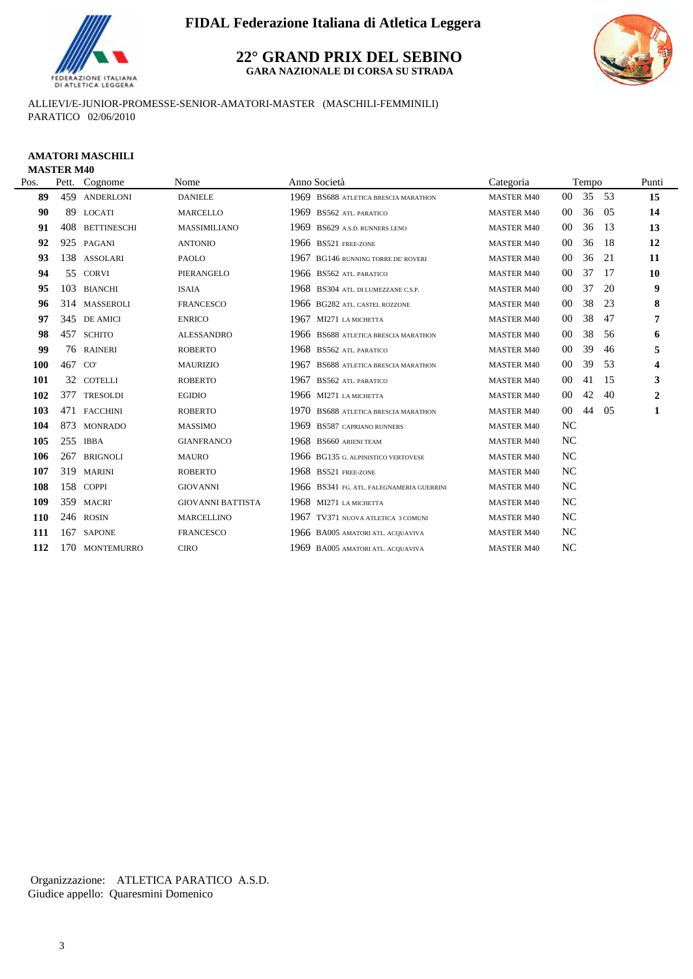

**22° GRAND PRIX DEL SEBINO GARA NAZIONALE DI CORSA SU STRADA**



ALLIEVI/E-JUNIOR-PROMESSE-SENIOR-AMATORI-MASTER (MASCHILI-FEMMINILI) PARATICO 02/06/2010

#### **AMATORI MASCHILI MASTER M40**

| Pos.       | Pett.  | Cognome            | Nome                     | Anno Società                              | Categoria         |                | Tempo |     | Punti                   |
|------------|--------|--------------------|--------------------------|-------------------------------------------|-------------------|----------------|-------|-----|-------------------------|
| 89         | 459    | <b>ANDERLONI</b>   | <b>DANIELE</b>           | 1969 BS688 ATLETICA BRESCIA MARATHON      | <b>MASTER M40</b> | $00\,$         | 35    | 53  | 15                      |
| 90         | 89     | <b>LOCATI</b>      | <b>MARCELLO</b>          | 1969 BS562 ATL. PARATICO                  | <b>MASTER M40</b> | $00\,$         | 36    | 05  | 14                      |
| 91         | 408    | <b>BETTINESCHI</b> | MASSIMILIANO             | 1969 BS629 A.S.D. RUNNERS LENO            | <b>MASTER M40</b> | 00             | 36    | -13 | 13                      |
| 92         |        | 925 PAGANI         | <b>ANTONIO</b>           | 1966 BS521 FREE-ZONE                      | <b>MASTER M40</b> | 00             | 36    | -18 | 12                      |
| 93         |        | 138 ASSOLARI       | <b>PAOLO</b>             | 1967 BG146 RUNNING TORRE DE' ROVERI       | <b>MASTER M40</b> | $00\,$         | 36    | 21  | 11                      |
| 94         |        | 55 CORVI           | PIERANGELO               | 1966 BS562 ATL. PARATICO                  | <b>MASTER M40</b> | $00\,$         | 37    | -17 | 10                      |
| 95         | 103    | <b>BIANCHI</b>     | <b>ISAIA</b>             | 1968 BS304 ATL. DI LUMEZZANE C.S.P.       | <b>MASTER M40</b> | $00\,$         | 37    | 20  | 9                       |
| 96         |        | 314 MASSEROLI      | <b>FRANCESCO</b>         | 1966 BG282 ATL. CASTEL ROZZONE            | <b>MASTER M40</b> | $00\,$         | 38    | 23  | 8                       |
| 97         |        | 345 DE AMICI       | <b>ENRICO</b>            | 1967 MI271 LA MICHETTA                    | <b>MASTER M40</b> | $00\,$         | 38    | 47  | 7                       |
| 98         |        | 457 SCHITO         | <b>ALESSANDRO</b>        | 1966 BS688 ATLETICA BRESCIA MARATHON      | <b>MASTER M40</b> | $00\,$         | 38    | 56  | 6                       |
| 99         |        | 76 RAINERI         | <b>ROBERTO</b>           | 1968 BS562 ATL PARATICO                   | <b>MASTER M40</b> | $00\,$         | 39    | 46  | 5                       |
| <b>100</b> | 467 CO |                    | <b>MAURIZIO</b>          | 1967 BS688 ATLETICA BRESCIA MARATHON      | <b>MASTER M40</b> | $00\,$         | 39    | 53  | $\overline{\mathbf{4}}$ |
| 101        | 32     | <b>COTELLI</b>     | <b>ROBERTO</b>           | 1967 BS562 ATL. PARATICO                  | <b>MASTER M40</b> | $00\,$         | 41    | 15  | 3                       |
| 102        | 377    | <b>TRESOLDI</b>    | <b>EGIDIO</b>            | 1966 MI271 LA MICHETTA                    | <b>MASTER M40</b> | $00\,$         | 42    | 40  | $\overline{2}$          |
| 103        |        | 471 FACCHINI       | <b>ROBERTO</b>           | 1970 BS688 ATLETICA BRESCIA MARATHON      | <b>MASTER M40</b> | $00\,$         | 44    | 05  | 1                       |
| 104        |        | 873 MONRADO        | <b>MASSIMO</b>           | 1969 BS587 CAPRIANO RUNNERS               | <b>MASTER M40</b> | <b>NC</b>      |       |     |                         |
| 105        | 255    | <b>IBBA</b>        | <b>GIANFRANCO</b>        | 1968 BS660 ARIENI TEAM                    | <b>MASTER M40</b> | <b>NC</b>      |       |     |                         |
| 106        | 267    | <b>BRIGNOLI</b>    | <b>MAURO</b>             | 1966 BG135 G. ALPINISTICO VERTOVESE       | <b>MASTER M40</b> | NC             |       |     |                         |
| 107        | 319    | <b>MARINI</b>      | <b>ROBERTO</b>           | 1968 BS521 FREE-ZONE                      | <b>MASTER M40</b> | NC             |       |     |                         |
| 108        | 158    | <b>COPPI</b>       | <b>GIOVANNI</b>          | 1966 BS341 FG. ATL. FALEGNAMERIA GUERRINI | <b>MASTER M40</b> | <b>NC</b>      |       |     |                         |
| 109        | 359    | <b>MACRI</b>       | <b>GIOVANNI BATTISTA</b> | 1968 MI271 LA MICHETTA                    | <b>MASTER M40</b> | <b>NC</b>      |       |     |                         |
| <b>110</b> | 246    | <b>ROSIN</b>       | <b>MARCELLINO</b>        | 1967 TV371 NUOVA ATLETICA 3 COMUNI        | <b>MASTER M40</b> | <b>NC</b>      |       |     |                         |
| 111        | 167    | <b>SAPONE</b>      | <b>FRANCESCO</b>         | 1966 BA005 AMATORI ATL. ACQUAVIVA         | <b>MASTER M40</b> | NC             |       |     |                         |
| 112        | 170    | <b>MONTEMURRO</b>  | <b>CIRO</b>              | 1969 BA005 AMATORI ATL. ACQUAVIVA         | <b>MASTER M40</b> | N <sub>C</sub> |       |     |                         |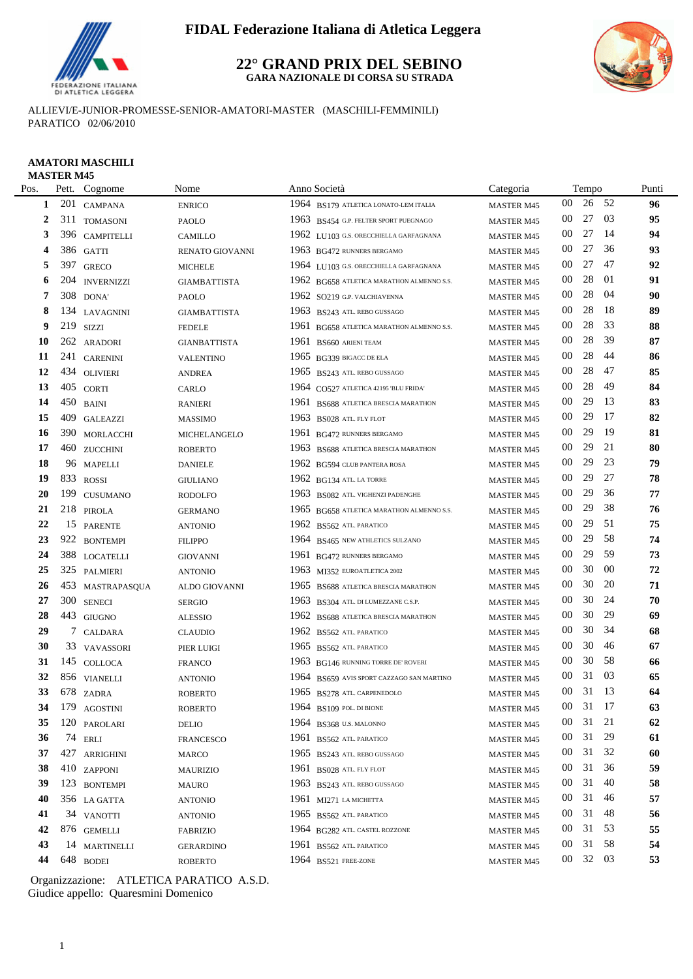

#### **22° GRAND PRIX DEL SEBINO GARA NAZIONALE DI CORSA SU STRADA**



ALLIEVI/E-JUNIOR-PROMESSE-SENIOR-AMATORI-MASTER (MASCHILI-FEMMINILI) PARATICO 02/06/2010

#### **AMATORI MASCHILI MASTER M45**

| Pos. |     | Pett. Cognome     | Nome                |      | Anno Società                              | Categoria         |                 | Tempo |        | Punti |
|------|-----|-------------------|---------------------|------|-------------------------------------------|-------------------|-----------------|-------|--------|-------|
| 1    | 201 | <b>CAMPANA</b>    | <b>ENRICO</b>       |      | 1964 BS179 ATLETICA LONATO-LEM ITALIA     | <b>MASTER M45</b> | $00\,$          | 26    | 52     | 96    |
| 2    | 311 | <b>TOMASONI</b>   | PAOLO               |      | 1963 BS454 G.P. FELTER SPORT PUEGNAGO     | <b>MASTER M45</b> | $00\,$          | 27    | 03     | 95    |
| 3    |     | 396 CAMPITELLI    | CAMILLO             |      | 1962 LU103 G.S. ORECCHIELLA GARFAGNANA    | <b>MASTER M45</b> | $00\,$          | 27    | -14    | 94    |
| 4    |     | 386 GATTI         | RENATO GIOVANNI     |      | 1963 BG472 RUNNERS BERGAMO                | <b>MASTER M45</b> | $00\,$          | 27    | 36     | 93    |
| 5    |     | 397 GRECO         | <b>MICHELE</b>      |      | 1964 LU103 G.S. ORECCHIELLA GARFAGNANA    | <b>MASTER M45</b> | $00\,$          | 27    | 47     | 92    |
| 6    | 204 | <b>INVERNIZZI</b> | <b>GIAMBATTISTA</b> |      | 1962 BG658 ATLETICA MARATHON ALMENNO S.S. | <b>MASTER M45</b> | 00              | 28    | 01     | 91    |
| 7    |     | 308 DONA'         | PAOLO               |      | 1962 SO219 G.P. VALCHIAVENNA              | <b>MASTER M45</b> | 00              | 28    | 04     | 90    |
| 8    |     | 134 LAVAGNINI     | <b>GIAMBATTISTA</b> |      | 1963 BS243 ATL. REBO GUSSAGO              | <b>MASTER M45</b> | 00              | 28    | 18     | 89    |
| 9    |     | $219$ SIZZI       | <b>FEDELE</b>       | 1961 | BG658 ATLETICA MARATHON ALMENNO S.S.      | <b>MASTER M45</b> | 00              | 28    | 33     | 88    |
| 10   |     | 262 ARADORI       | <b>GIANBATTISTA</b> | 1961 | BS660 ARIENI TEAM                         | <b>MASTER M45</b> | 00              | 28    | 39     | 87    |
| 11   | 241 | <b>CARENINI</b>   | <b>VALENTINO</b>    |      | 1965 BG339 BIGACC DE ELA                  | <b>MASTER M45</b> | 00              | 28    | 44     | 86    |
| 12   |     | 434 OLIVIERI      | <b>ANDREA</b>       | 1965 | BS243 ATL. REBO GUSSAGO                   | <b>MASTER M45</b> | 00              | 28    | 47     | 85    |
| 13   |     | 405 CORTI         | CARLO               |      | 1964 CO527 ATLETICA 42195 'BLU FRIDA'     | <b>MASTER M45</b> | 00              | 28    | 49     | 84    |
| 14   |     | 450 BAINI         | <b>RANIERI</b>      | 1961 | BS688 ATLETICA BRESCIA MARATHON           | <b>MASTER M45</b> | 00              | 29    | 13     | 83    |
| 15   | 409 | <b>GALEAZZI</b>   | <b>MASSIMO</b>      | 1963 | BS028 ATL. FLY FLOT                       | <b>MASTER M45</b> | 00              | 29    | 17     | 82    |
| 16   | 390 | MORLACCHI         | MICHELANGELO        | 1961 | <b>BG472 RUNNERS BERGAMO</b>              | <b>MASTER M45</b> | 00              | 29    | 19     | 81    |
| 17   |     | 460 ZUCCHINI      | <b>ROBERTO</b>      |      | 1963 BS688 ATLETICA BRESCIA MARATHON      | <b>MASTER M45</b> | $00\,$          | 29    | 21     | 80    |
| 18   | 96  | <b>MAPELLI</b>    | <b>DANIELE</b>      |      | 1962 BG594 CLUB PANTERA ROSA              | <b>MASTER M45</b> | 00              | 29    | 23     | 79    |
| 19   |     | 833 ROSSI         | <b>GIULIANO</b>     |      | $1962$ BG134 ATL. LA TORRE                | <b>MASTER M45</b> | 00              | 29    | 27     | 78    |
| 20   | 199 | <b>CUSUMANO</b>   | RODOLFO             |      | 1963 BS082 ATL. VIGHENZI PADENGHE         | <b>MASTER M45</b> | $00\,$          | 29    | 36     | 77    |
| 21   |     | 218 PIROLA        | <b>GERMANO</b>      | 1965 | BG658 ATLETICA MARATHON ALMENNO S.S.      | <b>MASTER M45</b> | 00              | 29    | 38     | 76    |
| 22   | 15  | <b>PARENTE</b>    | <b>ANTONIO</b>      | 1962 | BS562 ATL. PARATICO                       | <b>MASTER M45</b> | 00              | 29    | 51     | 75    |
| 23   | 922 | <b>BONTEMPI</b>   | <b>FILIPPO</b>      | 1964 | BS465 NEW ATHLETICS SULZANO               | <b>MASTER M45</b> | 00              | 29    | 58     | 74    |
| 24   |     | 388 LOCATELLI     | <b>GIOVANNI</b>     |      | 1961 BG472 RUNNERS BERGAMO                | <b>MASTER M45</b> | 00              | 29    | 59     | 73    |
| 25   |     | 325 PALMIERI      | <b>ANTONIO</b>      |      | 1963 MI352 EUROATLETICA 2002              | <b>MASTER M45</b> | 00              | 30    | $00\,$ | 72    |
| 26   |     | 453 MASTRAPASQUA  | ALDO GIOVANNI       | 1965 | BS688 ATLETICA BRESCIA MARATHON           | <b>MASTER M45</b> | 00              | 30    | 20     | 71    |
| 27   |     | 300 SENECI        | <b>SERGIO</b>       | 1963 | BS304 ATL. DI LUMEZZANE C.S.P.            | <b>MASTER M45</b> | 00              | 30    | 24     | 70    |
| 28   |     | 443 GIUGNO        | <b>ALESSIO</b>      |      | 1962 BS688 ATLETICA BRESCIA MARATHON      | <b>MASTER M45</b> | $00\,$          | 30    | 29     | 69    |
| 29   | 7   | CALDARA           | <b>CLAUDIO</b>      |      | 1962 BS562 ATL PARATICO                   | <b>MASTER M45</b> | $00\,$          | 30    | 34     | 68    |
| 30   |     | 33 VAVASSORI      | PIER LUIGI          |      | 1965 BS562 ATL. PARATICO                  | <b>MASTER M45</b> | 00              | 30    | 46     | 67    |
| 31   |     | 145 COLLOCA       | <b>FRANCO</b>       |      | 1963 BG146 RUNNING TORRE DE' ROVERI       | <b>MASTER M45</b> | 00              | 30    | 58     | 66    |
| 32   |     | 856 VIANELLI      | <b>ANTONIO</b>      |      | 1964 BS659 AVIS SPORT CAZZAGO SAN MARTINO | <b>MASTER M45</b> | 00              | 31    | 03     | 65    |
| 33   |     | 678 ZADRA         | <b>ROBERTO</b>      |      | 1965 BS278 ATL. CARPENEDOLO               | <b>MASTER M45</b> | $00\,$          | 31 13 |        | 64    |
| 34   |     | 179 AGOSTINI      | <b>ROBERTO</b>      |      | 1964 BS109 POL. DI BIONE                  | MASTER M45        | $00\,$          | 31 17 |        | 63    |
| 35   |     | 120 PAROLARI      | DELIO               |      | 1964 BS368 U.S. MALONNO                   | <b>MASTER M45</b> | $00\,$          | 31 21 |        | 62    |
| 36   |     | 74 ERLI           | <b>FRANCESCO</b>    |      | 1961 BS562 ATL. PARATICO                  | <b>MASTER M45</b> | $00\,$          | 31    | 29     | 61    |
| 37   |     | 427 ARRIGHINI     | <b>MARCO</b>        |      | 1965 BS243 ATL. REBO GUSSAGO              | <b>MASTER M45</b> | $00\,$          | 31 32 |        | 60    |
| 38   |     | 410 ZAPPONI       | <b>MAURIZIO</b>     |      | 1961 BS028 ATL FLY FLOT                   | <b>MASTER M45</b> | 00              | 31    | 36     | 59    |
| 39   |     | 123 BONTEMPI      | MAURO               |      | 1963 BS243 ATL. REBO GUSSAGO              | <b>MASTER M45</b> | 00              | 31    | 40     | 58    |
| 40   |     | 356 LA GATTA      | <b>ANTONIO</b>      | 1961 | MI271 LA MICHETTA                         | MASTER M45        | $00\,$          | 31    | 46     | 57    |
| 41   |     | 34 VANOTTI        | <b>ANTONIO</b>      | 1965 | BS562 ATL. PARATICO                       | MASTER M45        | $00\,$          | 31    | 48     | 56    |
| 42   |     | 876 GEMELLI       | <b>FABRIZIO</b>     |      | 1964 BG282 ATL. CASTEL ROZZONE            | <b>MASTER M45</b> | 00              | 31    | 53     | 55    |
| 43   |     | 14 MARTINELLI     | <b>GERARDINO</b>    |      | 1961 BS562 ATL PARATICO                   | <b>MASTER M45</b> | $00\,$          | 31    | 58     | 54    |
| 44   |     | 648 BODEI         | <b>ROBERTO</b>      |      | 1964 BS521 FREE-ZONE                      | MASTER M45        | 00 <sup>1</sup> | 32 03 |        | 53    |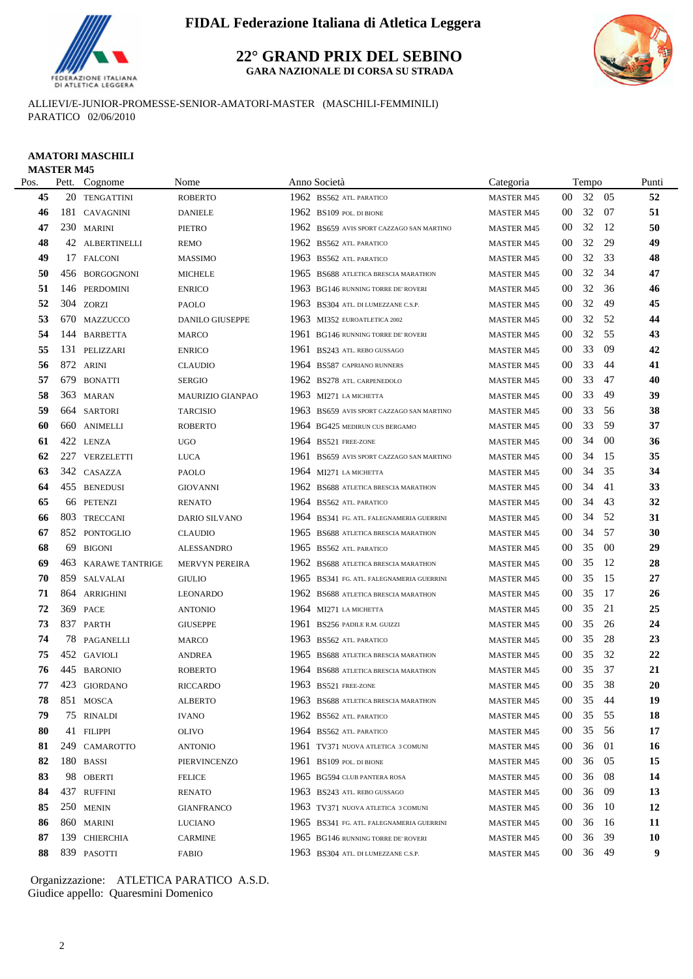

**22° GRAND PRIX DEL SEBINO GARA NAZIONALE DI CORSA SU STRADA**



ALLIEVI/E-JUNIOR-PROMESSE-SENIOR-AMATORI-MASTER (MASCHILI-FEMMINILI) PARATICO 02/06/2010

### **AMATORI MASCHILI** MASTER M45

| Pos. |     | Pett. Cognome       | Nome              | Anno Società |                                           | Categoria         |                 | Tempo |        | Punti     |
|------|-----|---------------------|-------------------|--------------|-------------------------------------------|-------------------|-----------------|-------|--------|-----------|
| 45   |     | 20 TENGATTINI       | <b>ROBERTO</b>    |              | 1962 BS562 ATL. PARATICO                  | <b>MASTER M45</b> | 00              | 32    | -05    | 52        |
| 46   |     | 181 CAVAGNINI       | <b>DANIELE</b>    |              | 1962 BS109 POL. DI BIONE                  | <b>MASTER M45</b> | 00              | 32 07 |        | 51        |
| 47   |     | 230 MARINI          | <b>PIETRO</b>     | 1962         | BS659 AVIS SPORT CAZZAGO SAN MARTINO      | <b>MASTER M45</b> | $00\,$          | 32    | -12    | 50        |
| 48   |     | 42 ALBERTINELLI     | <b>REMO</b>       | 1962         | BS562 ATL. PARATICO                       | <b>MASTER M45</b> | $00\,$          | 32    | 29     | 49        |
| 49   |     | 17 FALCONI          | <b>MASSIMO</b>    | 1963         | BS562 ATL. PARATICO                       | <b>MASTER M45</b> | 00              | 32    | 33     | 48        |
| 50   |     | 456 BORGOGNONI      | <b>MICHELE</b>    | 1965         | BS688 ATLETICA BRESCIA MARATHON           | <b>MASTER M45</b> | 00              | 32    | 34     | 47        |
| 51   |     | 146 PERDOMINI       | <b>ENRICO</b>     |              | 1963 BG146 RUNNING TORRE DE' ROVERI       | <b>MASTER M45</b> | 00              | 32    | 36     | 46        |
| 52   |     | 304 ZORZI           | PAOLO             |              | 1963 BS304 ATL. DI LUMEZZANE C.S.P.       | <b>MASTER M45</b> | $00\,$          | 32    | 49     | 45        |
| 53   |     | 670 MAZZUCCO        | DANILO GIUSEPPE   |              | 1963 MI352 EUROATLETICA 2002              | <b>MASTER M45</b> | 00              | 32    | -52    | 44        |
| 54   |     | 144 BARBETTA        | <b>MARCO</b>      |              | 1961 BG146 RUNNING TORRE DE' ROVERI       | <b>MASTER M45</b> | $00\,$          | 32    | -55    | 43        |
| 55   | 131 | PELIZZARI           | <b>ENRICO</b>     | 1961         | BS243 ATL. REBO GUSSAGO                   | <b>MASTER M45</b> | $00\,$          | 33    | 09     | 42        |
| 56   |     | 872 ARINI           | <b>CLAUDIO</b>    |              | 1964 BS587 CAPRIANO RUNNERS               | <b>MASTER M45</b> | $00\,$          | 33    | -44    | 41        |
| 57   |     | 679 BONATTI         | <b>SERGIO</b>     |              | 1962 BS278 ATL. CARPENEDOLO               | <b>MASTER M45</b> | $00\,$          | 33    | 47     | 40        |
| 58   |     | 363 MARAN           | MAURIZIO GIANPAO  |              | 1963 MI271 LA MICHETTA                    | <b>MASTER M45</b> | $00\,$          | 33    | 49     | 39        |
| 59   |     | 664 SARTORI         | <b>TARCISIO</b>   |              | 1963 BS659 AVIS SPORT CAZZAGO SAN MARTINO | <b>MASTER M45</b> | 00              | 33    | 56     | 38        |
| 60   | 660 | <b>ANIMELLI</b>     | <b>ROBERTO</b>    |              | 1964 BG425 MEDIRUN CUS BERGAMO            | <b>MASTER M45</b> | $00\,$          | 33    | -59    | 37        |
| 61   | 422 | <b>LENZA</b>        | <b>UGO</b>        |              | 1964 BS521 FREE-ZONE                      | <b>MASTER M45</b> | 00              | 34    | 00     | 36        |
| 62   |     | 227 VERZELETTI      | LUCA              |              | 1961 BS659 AVIS SPORT CAZZAGO SAN MARTINO | <b>MASTER M45</b> | 00              | 34    | 15     | 35        |
| 63   |     | 342 CASAZZA         | PAOLO             |              | 1964 MI271 LA MICHETTA                    | <b>MASTER M45</b> | $00\,$          | 34    | 35     | 34        |
| 64   |     | 455 BENEDUSI        | <b>GIOVANNI</b>   | 1962         | BS688 ATLETICA BRESCIA MARATHON           | <b>MASTER M45</b> | $00\,$          | 34    | 41     | 33        |
| 65   |     | 66 PETENZI          | <b>RENATO</b>     |              | 1964 BS562 ATL. PARATICO                  | <b>MASTER M45</b> | $00\,$          | 34    | 43     | 32        |
| 66   |     | 803 TRECCANI        | DARIO SILVANO     |              | 1964 BS341 FG. ATL. FALEGNAMERIA GUERRINI | <b>MASTER M45</b> | 00              | 34    | 52     | 31        |
| 67   |     | 852 PONTOGLIO       | <b>CLAUDIO</b>    | 1965         | <b>BS688 ATLETICA BRESCIA MARATHON</b>    | <b>MASTER M45</b> | 00              | 34    | -57    | 30        |
| 68   | 69  | <b>BIGONI</b>       | <b>ALESSANDRO</b> | 1965         | <b>BS562 ATL PARATICO</b>                 | <b>MASTER M45</b> | $00\,$          | 35    | $00\,$ | 29        |
| 69   |     | 463 KARAWE TANTRIGE | MERVYN PEREIRA    | 1962         | BS688 ATLETICA BRESCIA MARATHON           | <b>MASTER M45</b> | $00\,$          | 35    | -12    | 28        |
| 70   |     | 859 SALVALAI        | <b>GIULIO</b>     |              | 1965 BS341 FG. ATL. FALEGNAMERIA GUERRINI | <b>MASTER M45</b> | 00              | 35    | -15    | 27        |
| 71   | 864 | ARRIGHINI           | <b>LEONARDO</b>   | 1962         | BS688 ATLETICA BRESCIA MARATHON           | <b>MASTER M45</b> | 00              | 35    | -17    | 26        |
| 72   | 369 | PACE                | <b>ANTONIO</b>    |              | 1964 MI271 LA MICHETTA                    | <b>MASTER M45</b> | 00              | 35    | 21     | 25        |
| 73   |     | 837 PARTH           | <b>GIUSEPPE</b>   |              | 1961 BS256 PADILE R.M. GUIZZI             | <b>MASTER M45</b> | 00              | 35    | 26     | 24        |
| 74   |     | 78 PAGANELLI        | MARCO             |              | 1963 BS562 ATL. PARATICO                  | <b>MASTER M45</b> | 00              | 35    | 28     | 23        |
| 75   |     | 452 GAVIOLI         | <b>ANDREA</b>     |              | 1965 BS688 ATLETICA BRESCIA MARATHON      | <b>MASTER M45</b> | 00              | 35    | 32     | 22        |
| 76   |     | 445 BARONIO         | <b>ROBERTO</b>    | 1964         | BS688 ATLETICA BRESCIA MARATHON           | <b>MASTER M45</b> | 00              | 35    | - 37   | 21        |
| 77   |     | 423 GIORDANO        | <b>RICCARDO</b>   |              | 1963 BS521 FREE-ZONE                      | <b>MASTER M45</b> | $00\,$          | 35    | 38     | 20        |
| 78   |     | 851 MOSCA           | <b>ALBERTO</b>    |              | 1963 BS688 ATLETICA BRESCIA MARATHON      | MASTER M45        | $00\,$          | 35 44 |        | 19        |
| 79   |     | 75 RINALDI          | <b>IVANO</b>      |              | 1962 BS562 ATL. PARATICO                  | <b>MASTER M45</b> | $00\,$          | 35    | -55    | 18        |
| 80   |     | 41 FILIPPI          | <b>OLIVO</b>      |              | 1964 BS562 ATL. PARATICO                  | <b>MASTER M45</b> | $00\,$          | 35    | - 56   | 17        |
| 81   |     | 249 CAMAROTTO       | <b>ANTONIO</b>    |              | 1961 TV371 NUOVA ATLETICA 3 COMUNI        | <b>MASTER M45</b> | $00\,$          | 36    | 01     | 16        |
| 82   |     | 180 BASSI           | PIERVINCENZO      |              | 1961 BS109 POL. DI BIONE                  | <b>MASTER M45</b> | 00              | 36    | 05     | 15        |
| 83   |     | 98 OBERTI           | <b>FELICE</b>     |              | 1965 BG594 CLUB PANTERA ROSA              | <b>MASTER M45</b> | $00\,$          | 36    | -08    | 14        |
| 84   |     | 437 RUFFINI         | <b>RENATO</b>     |              | 1963 BS243 ATL. REBO GUSSAGO              | <b>MASTER M45</b> | 00              | 36    | -09    | 13        |
| 85   |     | 250 MENIN           | <b>GIANFRANCO</b> |              | 1963 TV371 NUOVA ATLETICA 3 COMUNI        | <b>MASTER M45</b> | 00              | 36    | -10    | 12        |
| 86   |     | 860 MARINI          | <b>LUCIANO</b>    |              | 1965 BS341 FG. ATL. FALEGNAMERIA GUERRINI | <b>MASTER M45</b> | 00 <sup>°</sup> | 36    | -16    | 11        |
| 87   |     | 139 CHIERCHIA       | <b>CARMINE</b>    |              | 1965 BG146 RUNNING TORRE DE' ROVERI       | <b>MASTER M45</b> | 00 <sup>°</sup> | 36    | 39     | <b>10</b> |
| 88   |     | 839 PASOTTI         | <b>FABIO</b>      |              | 1963 BS304 ATL. DI LUMEZZANE C.S.P.       | <b>MASTER M45</b> | 00              | 36 49 |        | 9         |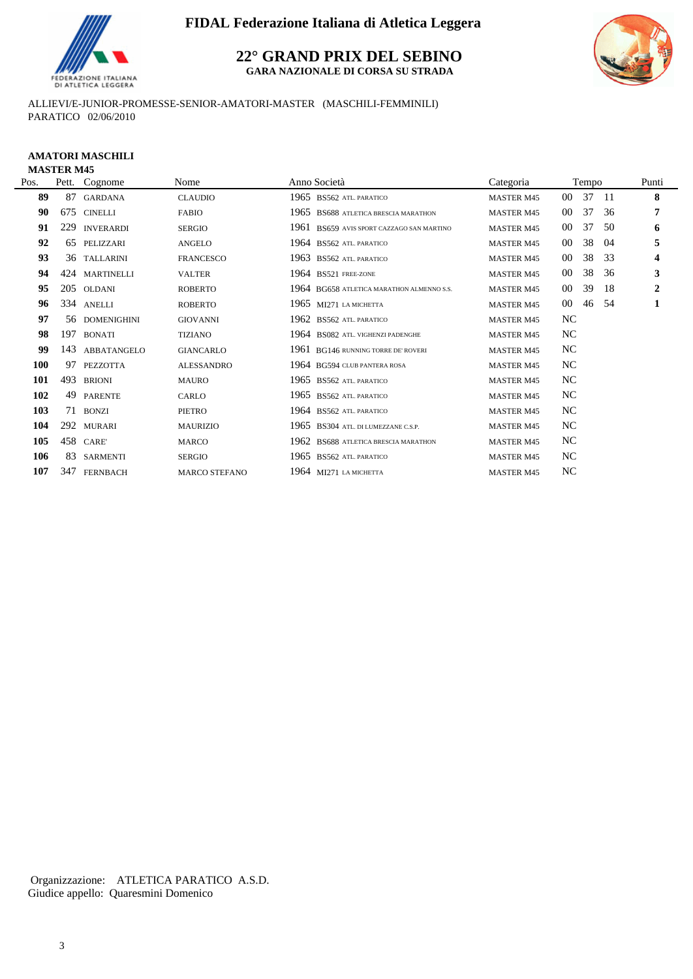

**22° GRAND PRIX DEL SEBINO GARA NAZIONALE DI CORSA SU STRADA**



ALLIEVI/E-JUNIOR-PROMESSE-SENIOR-AMATORI-MASTER (MASCHILI-FEMMINILI) PARATICO 02/06/2010

#### **AMATORI MASCHILI MASTER M45**

| Pos. |     | Pett. Cognome    | Nome                 | Anno Società                                 | Categoria         |        | Tempo |     | Punti                   |
|------|-----|------------------|----------------------|----------------------------------------------|-------------------|--------|-------|-----|-------------------------|
| 89   | 87  | <b>GARDANA</b>   | <b>CLAUDIO</b>       | 1965 BS562 ATL. PARATICO                     | <b>MASTER M45</b> | $00\,$ | 37    | -11 | 8                       |
| 90   | 675 | <b>CINELLI</b>   | <b>FABIO</b>         | 1965<br>BS688 ATLETICA BRESCIA MARATHON      | <b>MASTER M45</b> | 00     | 37    | 36  | 7                       |
| 91   | 229 | <b>INVERARDI</b> | <b>SERGIO</b>        | 1961<br>BS659 AVIS SPORT CAZZAGO SAN MARTINO | <b>MASTER M45</b> | 00     | 37    | 50  | 6                       |
| 92   | 65  | PELIZZARI        | <b>ANGELO</b>        | 1964 BS562 ATL PARATICO                      | <b>MASTER M45</b> | 00     | 38    | 04  | 5                       |
| 93   |     | 36 TALLARINI     | <b>FRANCESCO</b>     | 1963 BS562 ATL PARATICO                      | <b>MASTER M45</b> | 00     | 38    | 33  | $\overline{\mathbf{4}}$ |
| 94   |     | 424 MARTINELLI   | <b>VALTER</b>        | 1964 BS521 FREE-ZONE                         | <b>MASTER M45</b> | 00     | 38    | 36  | 3                       |
| 95   |     | 205 OLDANI       | <b>ROBERTO</b>       | 1964 BG658 ATLETICA MARATHON ALMENNO S.S.    | <b>MASTER M45</b> | 00     | 39    | 18  | $\mathbf{2}$            |
| 96   |     | 334 ANELLI       | <b>ROBERTO</b>       | 1965 MI271 LA MICHETTA                       | <b>MASTER M45</b> | 00     | 46    | -54 | $\mathbf{1}$            |
| 97   |     | 56 DOMENIGHINI   | <b>GIOVANNI</b>      | 1962 BS562 ATL PARATICO                      | <b>MASTER M45</b> | NC     |       |     |                         |
| 98   |     | 197 BONATI       | <b>TIZIANO</b>       | 1964 BS082 ATL. VIGHENZI PADENGHE            | <b>MASTER M45</b> | NC     |       |     |                         |
| 99   | 143 | ABBATANGELO      | <b>GIANCARLO</b>     | 1961 BG146 RUNNING TORRE DE' ROVERI          | <b>MASTER M45</b> | NC.    |       |     |                         |
| 100  | 97  | PEZZOTTA         | <b>ALESSANDRO</b>    | 1964 BG594 CLUB PANTERA ROSA                 | <b>MASTER M45</b> | NC.    |       |     |                         |
| 101  | 493 | <b>BRIONI</b>    | <b>MAURO</b>         | 1965 BS562 ATL PARATICO                      | <b>MASTER M45</b> | NC     |       |     |                         |
| 102  | 49  | <b>PARENTE</b>   | CARLO                | 1965 BS562 ATL PARATICO                      | <b>MASTER M45</b> | NC     |       |     |                         |
| 103  |     | 71 BONZI         | PIETRO               | 1964 BS562 ATL PARATICO                      | <b>MASTER M45</b> | NC     |       |     |                         |
| 104  | 292 | <b>MURARI</b>    | <b>MAURIZIO</b>      | 1965 BS304 ATL DILUMEZZANE C.S.P.            | <b>MASTER M45</b> | NC.    |       |     |                         |
| 105  | 458 | CARE'            | MARCO                | 1962 BS688 ATLETICA BRESCIA MARATHON         | <b>MASTER M45</b> | NC     |       |     |                         |
| 106  | 83  | <b>SARMENTI</b>  | SERGIO               | 1965 BS562 ATL. PARATICO                     | <b>MASTER M45</b> | NC     |       |     |                         |
| 107  | 347 | <b>FERNBACH</b>  | <b>MARCO STEFANO</b> | 1964 MI271 LA MICHETTA                       | <b>MASTER M45</b> | NC     |       |     |                         |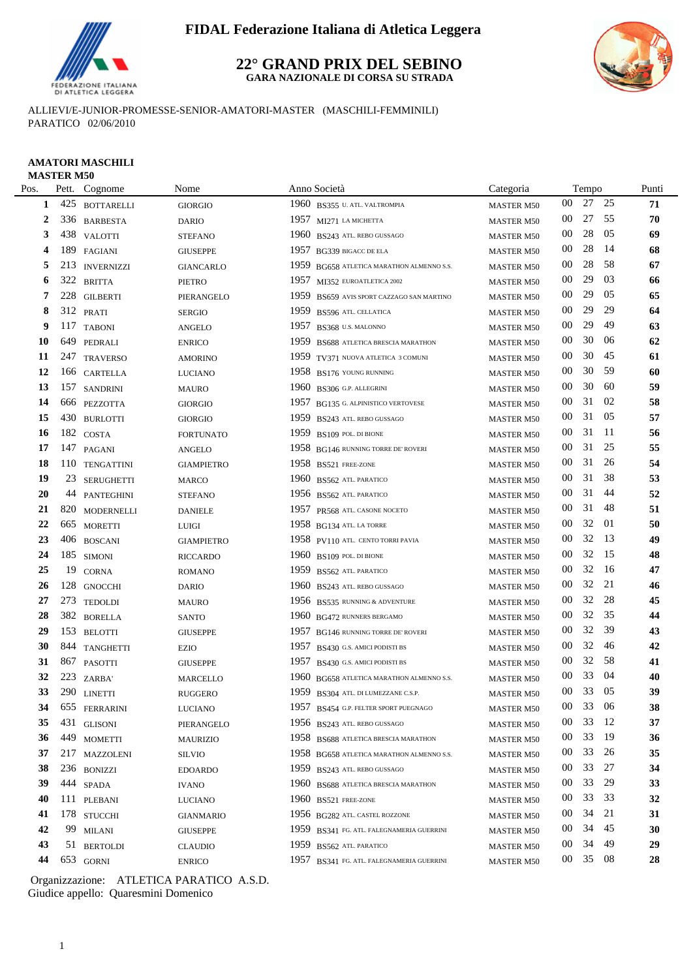

#### **22° GRAND PRIX DEL SEBINO GARA NAZIONALE DI CORSA SU STRADA**



ALLIEVI/E-JUNIOR-PROMESSE-SENIOR-AMATORI-MASTER (MASCHILI-FEMMINILI) PARATICO 02/06/2010

| Pos.         |     | Pett. Cognome     | Nome              | Anno Società                              | Categoria         |        | Tempo |      | Punti |
|--------------|-----|-------------------|-------------------|-------------------------------------------|-------------------|--------|-------|------|-------|
| $\mathbf{1}$ |     | 425 BOTTARELLI    | <b>GIORGIO</b>    | 1960 BS355 U. ATL. VALTROMPIA             | <b>MASTER M50</b> | 00     | 27    | 25   | 71    |
| 2            |     | 336 BARBESTA      | DARIO             | 1957 MI271 LA MICHETTA                    | <b>MASTER M50</b> | 00     | 27    | 55   | 70    |
| 3            |     | 438 VALOTTI       | <b>STEFANO</b>    | 1960 BS243 ATL. REBO GUSSAGO              | <b>MASTER M50</b> | 00     | 28    | 05   | 69    |
| 4            |     | 189 FAGIANI       | <b>GIUSEPPE</b>   | 1957 BG339 BIGACC DE ELA                  | <b>MASTER M50</b> | $00\,$ | 28    | -14  | 68    |
| 5            | 213 | <b>INVERNIZZI</b> | <b>GIANCARLO</b>  | 1959 BG658 ATLETICA MARATHON ALMENNO S.S. | MASTER M50        | 00     | 28    | -58  | 67    |
| 6            | 322 | <b>BRITTA</b>     | <b>PIETRO</b>     | 1957 MI352 EUROATLETICA 2002              | <b>MASTER M50</b> | 00     | 29    | 03   | 66    |
| 7            | 228 | <b>GILBERTI</b>   | PIERANGELO        | 1959 BS659 AVIS SPORT CAZZAGO SAN MARTINO | <b>MASTER M50</b> | 00     | 29    | 05   | 65    |
| 8            |     | 312 PRATI         | <b>SERGIO</b>     | 1959 BS596 ATL. CELLATICA                 | <b>MASTER M50</b> | 00     | 29    | 29   | 64    |
| 9            |     | 117 TABONI        | <b>ANGELO</b>     | 1957 BS368 U.S. MALONNO                   | <b>MASTER M50</b> | 00     | 29    | 49   | 63    |
| 10           | 649 | PEDRALI           | <b>ENRICO</b>     | 1959 BS688 ATLETICA BRESCIA MARATHON      | <b>MASTER M50</b> | $00\,$ | 30    | 06   | 62    |
| 11           |     | 247 TRAVERSO      | <b>AMORINO</b>    | 1959 TV371 NUOVA ATLETICA 3 COMUNI        | <b>MASTER M50</b> | $00\,$ | 30    | 45   | 61    |
| 12           |     | 166 CARTELLA      | <b>LUCIANO</b>    | 1958 BS176 YOUNG RUNNING                  | <b>MASTER M50</b> | 00     | 30    | 59   | 60    |
| 13           |     | 157 SANDRINI      | <b>MAURO</b>      | 1960 BS306 G.P. ALLEGRINI                 | <b>MASTER M50</b> | 00     | 30    | 60   | 59    |
| 14           |     | 666 PEZZOTTA      | <b>GIORGIO</b>    | 1957 BG135 G. ALPINISTICO VERTOVESE       | <b>MASTER M50</b> | 00     | 31    | 02   | 58    |
| 15           |     | 430 BURLOTTI      | <b>GIORGIO</b>    | 1959 BS243 ATL. REBO GUSSAGO              | <b>MASTER M50</b> | 00     | 31    | 05   | 57    |
| 16           |     | 182 COSTA         | <b>FORTUNATO</b>  | 1959 BS109 POL. DI BIONE                  | <b>MASTER M50</b> | 00     | 31    | -11  | 56    |
| 17           | 147 | PAGANI            | <b>ANGELO</b>     | 1958 BG146 RUNNING TORRE DE' ROVERI       | <b>MASTER M50</b> | 00     | 31    | 25   | 55    |
| 18           |     | 110 TENGATTINI    | <b>GIAMPIETRO</b> | 1958 BS521 FREE-ZONE                      | <b>MASTER M50</b> | 00     | 31    | 26   | 54    |
| 19           |     | 23 SERUGHETTI     | <b>MARCO</b>      | 1960 BS562 ATL. PARATICO                  | <b>MASTER M50</b> | 00     | 31    | 38   | 53    |
| 20           |     | 44 PANTEGHINI     | <b>STEFANO</b>    | 1956 BS562 ATL. PARATICO                  | <b>MASTER M50</b> | 00     | 31    | 44   | 52    |
| 21           |     | 820 MODERNELLI    | <b>DANIELE</b>    | 1957 PR568 ATL. CASONE NOCETO             | <b>MASTER M50</b> | 00     | 31    | 48   | 51    |
| 22           |     | 665 MORETTI       | <b>LUIGI</b>      | 1958 BG134 ATL. LA TORRE                  | <b>MASTER M50</b> | $00\,$ | 32    | 01   | 50    |
| 23           |     | 406 BOSCANI       | <b>GIAMPIETRO</b> | 1958 PV110 ATL. CENTO TORRI PAVIA         | <b>MASTER M50</b> | 00     | 32    | 13   | 49    |
| 24           |     | 185 SIMONI        | <b>RICCARDO</b>   | 1960 BS109 POL. DI BIONE                  | <b>MASTER M50</b> | 00     | 32    | 15   | 48    |
| 25           | 19  | <b>CORNA</b>      | <b>ROMANO</b>     | 1959 BS562 ATL. PARATICO                  | <b>MASTER M50</b> | 00     | 32    | -16  | 47    |
| 26           |     | 128 GNOCCHI       | <b>DARIO</b>      | 1960 BS243 ATL. REBO GUSSAGO              | <b>MASTER M50</b> | 00     | 32    | 21   | 46    |
| 27           |     | 273 TEDOLDI       | <b>MAURO</b>      | 1956 BS535 RUNNING & ADVENTURE            | <b>MASTER M50</b> | 00     | 32    | 28   | 45    |
| 28           |     | 382 BORELLA       | <b>SANTO</b>      | 1960 BG472 RUNNERS BERGAMO                | <b>MASTER M50</b> | 00     | 32    | 35   | 44    |
| 29           |     | 153 BELOTTI       | <b>GIUSEPPE</b>   | 1957 BG146 RUNNING TORRE DE' ROVERI       | <b>MASTER M50</b> | 00     | 32    | 39   | 43    |
| 30           |     | 844 TANGHETTI     | <b>EZIO</b>       | 1957 BS430 G.S. AMICI PODISTI BS          | <b>MASTER M50</b> | $00\,$ | 32    | 46   | 42    |
| 31           |     | 867 PASOTTI       | <b>GIUSEPPE</b>   | 1957 BS430 G.S. AMICI PODISTI BS          | MASTER M50        | $00\,$ | 32    | 58   | 41    |
| 32           |     | 223 ZARBA'        | <b>MARCELLO</b>   | 1960 BG658 ATLETICA MARATHON ALMENNO S.S. | <b>MASTER M50</b> | $00\,$ | 33    | 04   | 40    |
| 33           |     | 290 LINETTI       | <b>RUGGERO</b>    | 1959 BS304 ATL DI LUMEZZANE C.S.P.        | <b>MASTER M50</b> | 00     | 33    | 05   | 39    |
| 34           |     | 655 FERRARINI     | <b>LUCIANO</b>    | 1957 BS454 G.P. FELTER SPORT PUEGNAGO     | <b>MASTER M50</b> | $00\,$ | 33    | - 06 | 38    |
| 35           |     | 431 GLISONI       | PIERANGELO        | 1956 BS243 ATL. REBO GUSSAGO              | <b>MASTER M50</b> | 00     | 33    | - 12 | 37    |
| 36           |     | 449 MOMETTI       | <b>MAURIZIO</b>   | 1958 BS688 ATLETICA BRESCIA MARATHON      | <b>MASTER M50</b> | 00     | 33    | -19  | 36    |
| 37           |     | 217 MAZZOLENI     | <b>SILVIO</b>     | 1958 BG658 ATLETICA MARATHON ALMENNO S.S. | <b>MASTER M50</b> | $00\,$ | 33    | 26   | 35    |
| 38           |     | 236 BONIZZI       | <b>EDOARDO</b>    | 1959 BS243 ATL. REBO GUSSAGO              | <b>MASTER M50</b> | $00\,$ | 33    | 27   | 34    |
| 39           |     | 444 SPADA         | IVANO             | 1960 BS688 ATLETICA BRESCIA MARATHON      | <b>MASTER M50</b> | 00     | 33    | 29   | 33    |
| 40           |     | 111 PLEBANI       | <b>LUCIANO</b>    | $1960$ BS521 FREE-ZONE                    | <b>MASTER M50</b> | $00\,$ | 33    | 33   | 32    |
| 41           |     | 178 STUCCHI       | <b>GIANMARIO</b>  | 1956 BG282 ATL. CASTEL ROZZONE            | <b>MASTER M50</b> | $00\,$ | 34    | 21   | 31    |
| 42           |     | 99 MILANI         | <b>GIUSEPPE</b>   | 1959 BS341 FG. ATL. FALEGNAMERIA GUERRINI | <b>MASTER M50</b> | $00\,$ | 34 45 |      | 30    |
|              |     |                   |                   |                                           |                   |        |       |      |       |

51 BERTOLDI CLAUDIO 1959 BS562 ATL. PARATICO MASTER M50 00 34 49 **29**

 653 GORNI ENRICO 1957 BS341 FG. ATL. FALEGNAMERIA GUERRINI MASTER M50 00 35 08 **28** Giudice appello: Quaresmini Domenico Organizzazione: ATLETICA PARATICO A.S.D.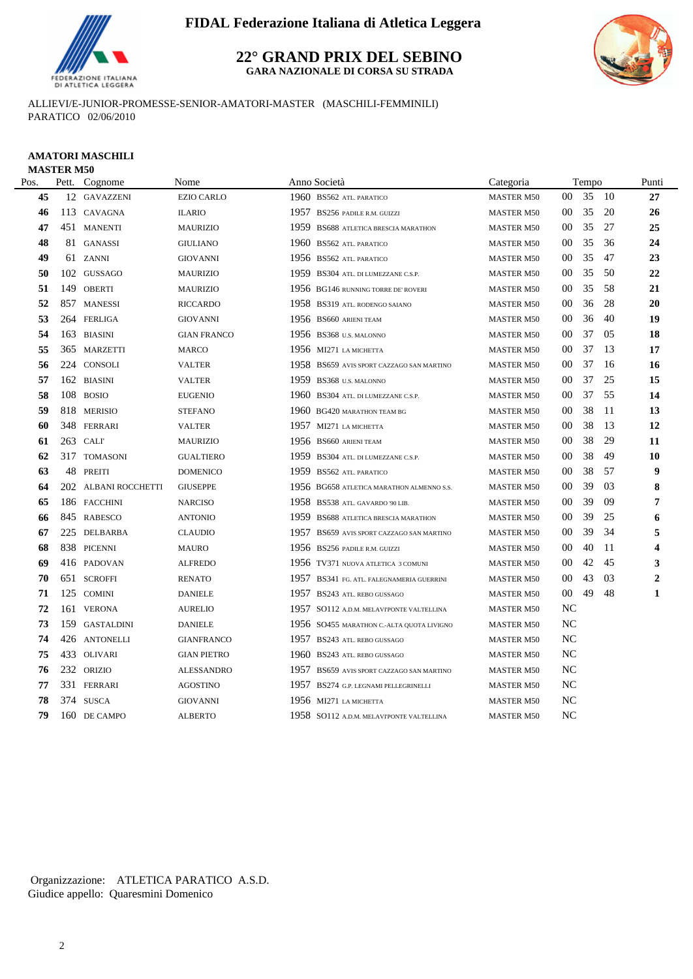

**22° GRAND PRIX DEL SEBINO GARA NAZIONALE DI CORSA SU STRADA**

ALLIEVI/E-JUNIOR-PROMESSE-SENIOR-AMATORI-MASTER (MASCHILI-FEMMINILI) PARATICO 02/06/2010

#### **AMATORI MASCHILI MASTER M50**

| Pos. | Pett. | Cognome              | Nome               |      | Anno Società                              | Categoria         |                | Tempo |      | Punti          |
|------|-------|----------------------|--------------------|------|-------------------------------------------|-------------------|----------------|-------|------|----------------|
| 45   |       | 12 GAVAZZENI         | <b>EZIO CARLO</b>  |      | 1960 BS562 ATL. PARATICO                  | <b>MASTER M50</b> | $00\,$         | 35    | - 10 | 27             |
| 46   |       | 113 CAVAGNA          | <b>ILARIO</b>      |      | 1957 BS256 PADILE R.M. GUIZZI             | <b>MASTER M50</b> | $00\,$         | 35    | 20   | 26             |
| 47   |       | 451 MANENTI          | <b>MAURIZIO</b>    |      | 1959 BS688 ATLETICA BRESCIA MARATHON      | <b>MASTER M50</b> | 00             | 35    | 27   | 25             |
| 48   |       | 81 GANASSI           | <b>GIULIANO</b>    |      | 1960 BS562 ATL PARATICO                   | <b>MASTER M50</b> | 00             | 35    | 36   | 24             |
| 49   |       | 61 ZANNI             | <b>GIOVANNI</b>    |      | 1956 BS562 ATL. PARATICO                  | <b>MASTER M50</b> | 00             | 35    | 47   | 23             |
| 50   |       | 102 GUSSAGO          | <b>MAURIZIO</b>    |      | 1959 BS304 ATL. DI LUMEZZANE C.S.P.       | <b>MASTER M50</b> | 00             | 35    | 50   | 22             |
| 51   | 149   | <b>OBERTI</b>        | <b>MAURIZIO</b>    |      | 1956 BG146 RUNNING TORRE DE' ROVERI       | <b>MASTER M50</b> | $00\,$         | 35    | 58   | 21             |
| 52   |       | 857 MANESSI          | <b>RICCARDO</b>    |      | 1958 BS319 ATL. RODENGO SAIANO            | <b>MASTER M50</b> | $00\,$         | 36    | 28   | 20             |
| 53   |       | 264 FERLIGA          | <b>GIOVANNI</b>    |      | 1956 BS660 ARIENI TEAM                    | <b>MASTER M50</b> | $00\,$         | 36    | 40   | 19             |
| 54   |       | 163 BIASINI          | <b>GIAN FRANCO</b> |      | 1956 BS368 U.S. MALONNO                   | <b>MASTER M50</b> | $00\,$         | 37    | 05   | 18             |
| 55   |       | 365 MARZETTI         | <b>MARCO</b>       |      | 1956 MI271 LA MICHETTA                    | <b>MASTER M50</b> | 00             | 37    | 13   | 17             |
| 56   |       | 224 CONSOLI          | VALTER             |      | 1958 BS659 AVIS SPORT CAZZAGO SAN MARTINO | <b>MASTER M50</b> | 00             | 37    | 16   | 16             |
| 57   |       | 162 BIASINI          | <b>VALTER</b>      |      | 1959 BS368 U.S. MALONNO                   | <b>MASTER M50</b> | 00             | 37    | 25   | 15             |
| 58   |       | 108 BOSIO            | <b>EUGENIO</b>     |      | 1960 BS304 ATL. DI LUMEZZANE C.S.P.       | <b>MASTER M50</b> | 00             | 37    | 55   | 14             |
| 59   |       | 818 MERISIO          | <b>STEFANO</b>     |      | 1960 BG420 MARATHON TEAM BG               | <b>MASTER M50</b> | 00             | 38    | -11  | 13             |
| 60   |       | 348 FERRARI          | <b>VALTER</b>      |      | 1957 MI271 LA MICHETTA                    | <b>MASTER M50</b> | $00\,$         | 38    | 13   | 12             |
| 61   |       | 263 CALI             | <b>MAURIZIO</b>    |      | 1956 BS660 ARIENI TEAM                    | <b>MASTER M50</b> | 00             | 38    | 29   | 11             |
| 62   |       | 317 TOMASONI         | <b>GUALTIERO</b>   |      | 1959 BS304 ATL. DI LUMEZZANE C.S.P.       | <b>MASTER M50</b> | $00\,$         | 38    | 49   | 10             |
| 63   |       | 48 PREITI            | <b>DOMENICO</b>    |      | 1959 BS562 ATL. PARATICO                  | <b>MASTER M50</b> | 00             | 38    | 57   | 9              |
| 64   |       | 202 ALBANI ROCCHETTI | <b>GIUSEPPE</b>    |      | 1956 BG658 ATLETICA MARATHON ALMENNO S.S. | <b>MASTER M50</b> | 00             | 39    | 03   | 8              |
| 65   |       | 186 FACCHINI         | <b>NARCISO</b>     |      | 1958 BS538 ATL. GAVARDO '90 LIB.          | <b>MASTER M50</b> | 00             | 39    | 09   | 7              |
| 66   |       | 845 RABESCO          | <b>ANTONIO</b>     | 1959 | BS688 ATLETICA BRESCIA MARATHON           | <b>MASTER M50</b> | 00             | 39    | 25   | 6              |
| 67   |       | 225 DELBARBA         | <b>CLAUDIO</b>     | 1957 | BS659 AVIS SPORT CAZZAGO SAN MARTINO      | <b>MASTER M50</b> | 00             | 39    | 34   | 5              |
| 68   |       | 838 PICENNI          | <b>MAURO</b>       |      | 1956 BS256 PADILE R.M. GUIZZI             | <b>MASTER M50</b> | 00             | 40    | -11  | 4              |
| 69   |       | 416 PADOVAN          | <b>ALFREDO</b>     |      | 1956 TV371 NUOVA ATLETICA 3 COMUNI        | <b>MASTER M50</b> | 00             | 42    | 45   | 3              |
| 70   | 651   | <b>SCROFFI</b>       | <b>RENATO</b>      |      | 1957 BS341 FG. ATL. FALEGNAMERIA GUERRINI | <b>MASTER M50</b> | $00\,$         | 43    | 03   | $\overline{2}$ |
| 71   | 125   | <b>COMINI</b>        | <b>DANIELE</b>     |      | 1957 BS243 ATL. REBO GUSSAGO              | <b>MASTER M50</b> | $00\,$         | 49    | 48   | 1              |
| 72   | 161   | <b>VERONA</b>        | <b>AURELIO</b>     |      | 1957 SO112 A.D.M. MELAVIPONTE VALTELLINA  | <b>MASTER M50</b> | <b>NC</b>      |       |      |                |
| 73   |       | 159 GASTALDINI       | <b>DANIELE</b>     |      | 1956 SO455 MARATHON C.-ALTA QUOTA LIVIGNO | <b>MASTER M50</b> | <b>NC</b>      |       |      |                |
| 74   |       | 426 ANTONELLI        | <b>GIANFRANCO</b>  |      | 1957 BS243 ATL. REBO GUSSAGO              | <b>MASTER M50</b> | NC             |       |      |                |
| 75   |       | 433 OLIVARI          | <b>GIAN PIETRO</b> |      | 1960 BS243 ATL. REBO GUSSAGO              | <b>MASTER M50</b> | <b>NC</b>      |       |      |                |
| 76   |       | 232 ORIZIO           | <b>ALESSANDRO</b>  |      | 1957 BS659 AVIS SPORT CAZZAGO SAN MARTINO | <b>MASTER M50</b> | NC             |       |      |                |
| 77   |       | 331 FERRARI          | AGOSTINO           |      | 1957 BS274 G.P. LEGNAMI PELLEGRINELLI     | <b>MASTER M50</b> | <b>NC</b>      |       |      |                |
| 78   |       | 374 SUSCA            | GIOVANNI           |      | 1956 MI271 LA MICHETTA                    | <b>MASTER M50</b> | NC             |       |      |                |
| 79   |       | 160 DE CAMPO         | ALBERTO            |      | 1958 SO112 A.D.M. MELAVIPONTE VALTELLINA  | <b>MASTER M50</b> | N <sub>C</sub> |       |      |                |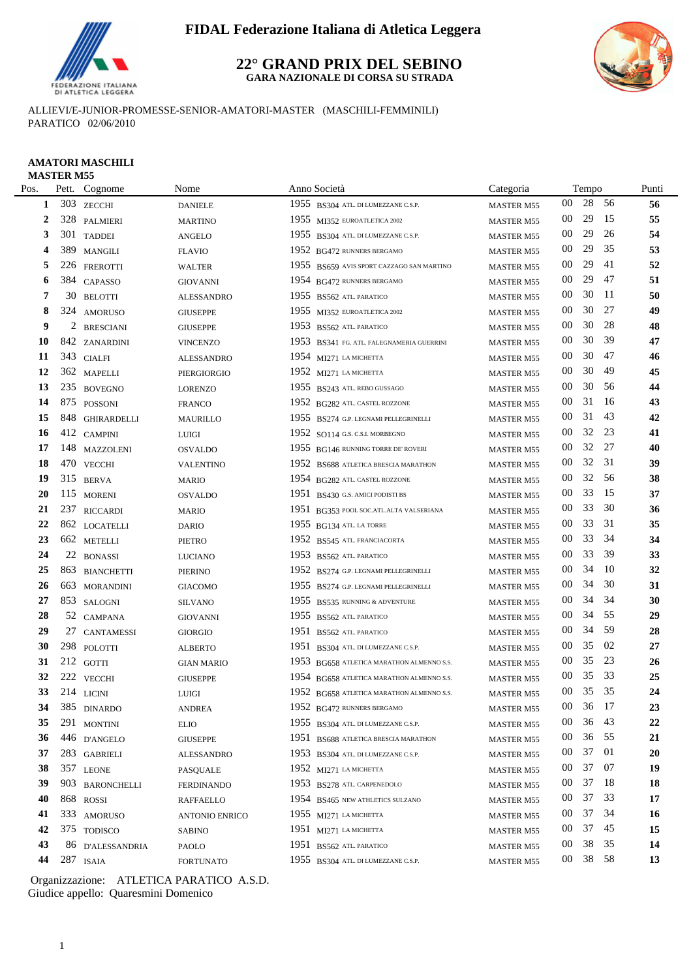

#### **22° GRAND PRIX DEL SEBINO GARA NAZIONALE DI CORSA SU STRADA**



ALLIEVI/E-JUNIOR-PROMESSE-SENIOR-AMATORI-MASTER (MASCHILI-FEMMINILI) PARATICO 02/06/2010

# **AMATORI MASCHILI**

|      | <b>MASTER M55</b> |                  |                   |      |                                           |                   |                 |       |      |       |
|------|-------------------|------------------|-------------------|------|-------------------------------------------|-------------------|-----------------|-------|------|-------|
| Pos. |                   | Pett. Cognome    | Nome              |      | Anno Società                              | Categoria         |                 | Tempo |      | Punti |
| 1    |                   | 303 ZECCHI       | <b>DANIELE</b>    |      | 1955 BS304 ATL. DI LUMEZZANE C.S.P.       | <b>MASTER M55</b> | $00\,$          | 28    | - 56 | 56    |
| 2    |                   | 328 PALMIERI     | <b>MARTINO</b>    |      | 1955 MI352 EUROATLETICA 2002              | <b>MASTER M55</b> | $00\,$          | 29    | 15   | 55    |
| 3    |                   | 301 TADDEI       | <b>ANGELO</b>     |      | 1955 BS304 ATL. DI LUMEZZANE C.S.P.       | <b>MASTER M55</b> | $00\,$          | 29    | 26   | 54    |
| 4    | 389               | <b>MANGILI</b>   | <b>FLAVIO</b>     |      | 1952 BG472 RUNNERS BERGAMO                | <b>MASTER M55</b> | 00              | 29    | 35   | 53    |
| 5    |                   | 226 FREROTTI     | <b>WALTER</b>     |      | 1955 BS659 AVIS SPORT CAZZAGO SAN MARTINO | <b>MASTER M55</b> | 00              | 29    | 41   | 52    |
| 6    | 384               | CAPASSO          | <b>GIOVANNI</b>   |      | 1954 BG472 RUNNERS BERGAMO                | <b>MASTER M55</b> | $00\,$          | 29    | 47   | 51    |
| 7    | 30                | <b>BELOTTI</b>   | <b>ALESSANDRO</b> |      | 1955 BS562 ATL PARATICO                   | <b>MASTER M55</b> | $00\,$          | 30    | -11  | 50    |
| 8    |                   | 324 AMORUSO      | <b>GIUSEPPE</b>   |      | 1955 MI352 EUROATLETICA 2002              | <b>MASTER M55</b> | $00\,$          | 30    | 27   | 49    |
| 9    | 2                 | <b>BRESCIANI</b> | <b>GIUSEPPE</b>   |      | 1953 BS562 ATL. PARATICO                  | <b>MASTER M55</b> | 00              | 30    | 28   | 48    |
| 10   |                   | 842 ZANARDINI    | <b>VINCENZO</b>   | 1953 | BS341 FG. ATL. FALEGNAMERIA GUERRINI      | <b>MASTER M55</b> | $00\,$          | 30    | 39   | 47    |
| 11   |                   | 343 CIALFI       | <b>ALESSANDRO</b> |      | 1954 MI271 LA MICHETTA                    | <b>MASTER M55</b> | $00\,$          | 30    | 47   | 46    |
| 12   |                   | 362 MAPELLI      | PIERGIORGIO       |      | 1952 MI271 LA MICHETTA                    | <b>MASTER M55</b> | 00              | 30    | 49   | 45    |
| 13   |                   | 235 BOVEGNO      | <b>LORENZO</b>    |      | 1955 BS243 ATL. REBO GUSSAGO              | <b>MASTER M55</b> | $00\,$          | 30    | 56   | 44    |
| 14   |                   | 875 POSSONI      | <b>FRANCO</b>     |      | 1952 BG282 ATL. CASTEL ROZZONE            | <b>MASTER M55</b> | $00\,$          | 31    | -16  | 43    |
| 15   |                   | 848 GHIRARDELLI  | <b>MAURILLO</b>   |      | 1955 BS274 G.P. LEGNAMI PELLEGRINELLI     | <b>MASTER M55</b> | $00\,$          | 31    | 43   | 42    |
| 16   |                   | 412 CAMPINI      | <b>LUIGI</b>      |      | 1952 SO114 G.S. C.S.I. MORBEGNO           | <b>MASTER M55</b> | $00\,$          | 32    | 23   | 41    |
| 17   | 148               | MAZZOLENI        | <b>OSVALDO</b>    |      | 1955 BG146 RUNNING TORRE DE' ROVERI       | <b>MASTER M55</b> | $00\,$          | 32    | 27   | 40    |
| 18   |                   | 470 VECCHI       | <b>VALENTINO</b>  |      | 1952 BS688 ATLETICA BRESCIA MARATHON      | <b>MASTER M55</b> | $00\,$          | 32    | 31   | 39    |
| 19   |                   | 315 BERVA        | <b>MARIO</b>      |      | 1954 BG282 ATL. CASTEL ROZZONE            | <b>MASTER M55</b> | $00\,$          | 32    | 56   | 38    |
| 20   |                   | 115 MORENI       | <b>OSVALDO</b>    |      | 1951 BS430 G.S. AMICI PODISTI BS          | <b>MASTER M55</b> | 00              | 33    | 15   | 37    |
| 21   | 237               | <b>RICCARDI</b>  | <b>MARIO</b>      |      | 1951 BG353 POOL SOC.ATL.ALTA VALSERIANA   | <b>MASTER M55</b> | $00\,$          | 33    | 30   | 36    |
| 22   |                   | 862 LOCATELLI    | <b>DARIO</b>      |      | 1955 BG134 ATL. LA TORRE                  | <b>MASTER M55</b> | 00              | 33    | 31   | 35    |
| 23   |                   | 662 METELLI      | <b>PIETRO</b>     | 1952 | BS545 ATL. FRANCIACORTA                   | <b>MASTER M55</b> | 00              | 33    | 34   | 34    |
| 24   | 22                | <b>BONASSI</b>   | <b>LUCIANO</b>    |      | 1953 BS562 ATL PARATICO                   | <b>MASTER M55</b> | $00\,$          | 33    | 39   | 33    |
| 25   |                   | 863 BIANCHETTI   | <b>PIERINO</b>    |      | 1952 BS274 G.P. LEGNAMI PELLEGRINELLI     | <b>MASTER M55</b> | $00\,$          | 34    | 10   | 32    |
| 26   | 663               | <b>MORANDINI</b> | <b>GIACOMO</b>    |      | 1955 BS274 G.P. LEGNAMI PELLEGRINELLI     | <b>MASTER M55</b> | $00\,$          | 34    | 30   | 31    |
| 27   |                   | 853 SALOGNI      | <b>SILVANO</b>    |      | 1955 BS535 RUNNING & ADVENTURE            | <b>MASTER M55</b> | $00\,$          | 34    | 34   | 30    |
| 28   |                   | 52 CAMPANA       | <b>GIOVANNI</b>   |      | 1955 BS562 ATL PARATICO                   | <b>MASTER M55</b> | $00\,$          | 34    | 55   | 29    |
| 29   |                   | 27 CANTAMESSI    | <b>GIORGIO</b>    |      | 1951 BS562 ATL PARATICO                   | <b>MASTER M55</b> | $00\,$          | 34    | 59   | 28    |
| 30   |                   | 298 POLOTTI      | <b>ALBERTO</b>    |      | 1951 BS304 ATL. DI LUMEZZANE C.S.P.       | <b>MASTER M55</b> | $00\,$          | 35    | 02   | 27    |
| 31   |                   | 212 GOTTI        | <b>GIAN MARIO</b> |      | 1953 BG658 ATLETICA MARATHON ALMENNO S.S. | <b>MASTER M55</b> | 00              | 35    | 23   | 26    |
| 32   |                   | 222 VECCHI       | <b>GIUSEPPE</b>   |      | 1954 BG658 ATLETICA MARATHON ALMENNO S.S. | <b>MASTER M55</b> | 00              | 35    | 33   | 25    |
| 33   |                   | $214$ LICINI     | LUIGI             |      | 1952 BG658 ATLETICA MARATHON ALMENNO S.S. | MASTER M55        | $00\,$          | 35 35 |      | 24    |
| 34   |                   | 385 DINARDO      | <b>ANDREA</b>     |      | 1952 BG472 RUNNERS BERGAMO                | <b>MASTER M55</b> | $00\,$          | 36    | - 17 | 23    |
| 35   |                   | 291 MONTINI      | <b>ELIO</b>       |      | 1955 BS304 ATL. DI LUMEZZANE C.S.P.       | <b>MASTER M55</b> | 00              | 36    | 43   | 22    |
| 36   |                   | 446 D'ANGELO     | <b>GIUSEPPE</b>   |      | 1951 BS688 ATLETICA BRESCIA MARATHON      | <b>MASTER M55</b> | 00              | 36    | 55   | 21    |
| 37   |                   | 283 GABRIELI     | <b>ALESSANDRO</b> |      | 1953 BS304 ATL DI LUMEZZANE C.S.P.        | <b>MASTER M55</b> | 00              | 37    | 01   | 20    |
| 38   |                   | 357 LEONE        | <b>PASQUALE</b>   |      | $1952$ MI271 LA MICHETTA                  | <b>MASTER M55</b> | 00              | 37    | 07   | 19    |
| 39   |                   | 903 BARONCHELLI  | <b>FERDINANDO</b> |      | 1953 BS278 ATL. CARPENEDOLO               | <b>MASTER M55</b> | 00              | 37    | -18  | 18    |
| 40   |                   | 868 ROSSI        | <b>RAFFAELLO</b>  |      | 1954 BS465 NEW ATHLETICS SULZANO          | <b>MASTER M55</b> | 00              | 37    | 33   | 17    |
| 41   |                   | 333 AMORUSO      | ANTONIO ENRICO    |      | 1955 MI271 LA MICHETTA                    | <b>MASTER M55</b> | 00              | 37    | 34   | 16    |
| 42   |                   | 375 TODISCO      | <b>SABINO</b>     |      | 1951 MI271 LA MICHETTA                    | <b>MASTER M55</b> | 00              | 37    | 45   | 15    |
| 43   |                   | 86 D'ALESSANDRIA | PAOLO             |      | 1951 BS562 ATL PARATICO                   | <b>MASTER M55</b> | 00              | 38    | 35   | 14    |
| 44   |                   | 287 ISAIA        | <b>FORTUNATO</b>  |      | 1955 BS304 ATL. DI LUMEZZANE C.S.P.       | MASTER M55        | 00 <sup>°</sup> | 38 58 |      | 13    |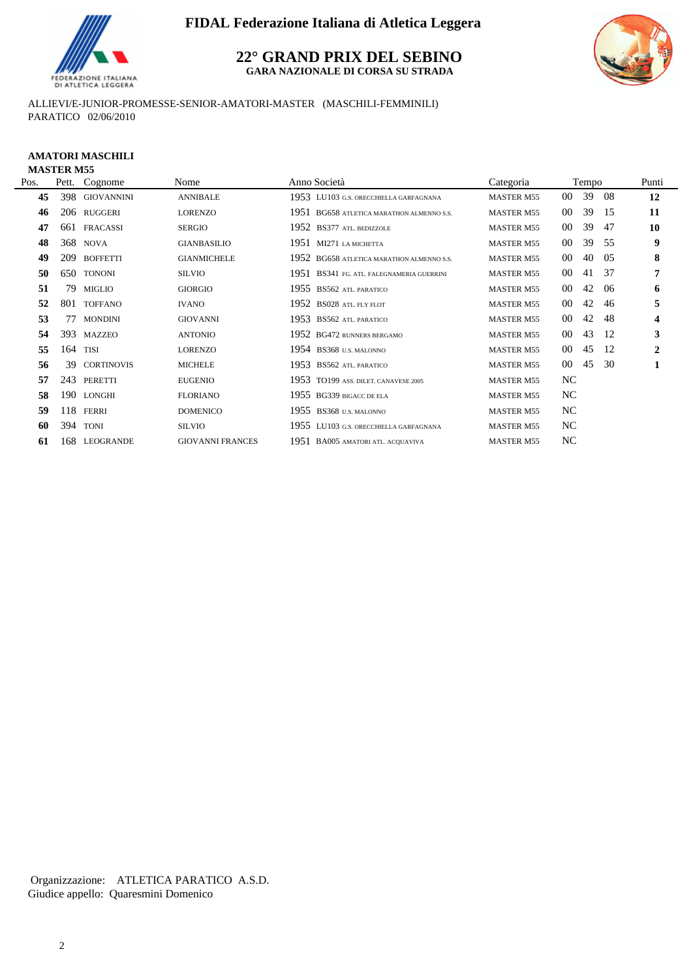

**22° GRAND PRIX DEL SEBINO GARA NAZIONALE DI CORSA SU STRADA**



ALLIEVI/E-JUNIOR-PROMESSE-SENIOR-AMATORI-MASTER (MASCHILI-FEMMINILI) PARATICO 02/06/2010

#### **AMATORI MASCHILI MASTER M55**

| Pos. |     | Pett. Cognome     | Nome                    | Anno Società                              | Categoria         |                 | Tempo |     | Punti                   |
|------|-----|-------------------|-------------------------|-------------------------------------------|-------------------|-----------------|-------|-----|-------------------------|
| 45   | 398 | <b>GIOVANNINI</b> | <b>ANNIBALE</b>         | 1953 LU103 G.S. ORECCHIELLA GARFAGNANA    | <b>MASTER M55</b> | 00              | 39    | -08 | 12                      |
| 46   |     | 206 RUGGERI       | LORENZO                 | 1951 BG658 ATLETICA MARATHON ALMENNO S.S. | <b>MASTER M55</b> | 00              | 39    | 15  | 11                      |
| 47   | 661 | <b>FRACASSI</b>   | SERGIO                  | 1952 BS377 ATL BEDIZZOLE                  | <b>MASTER M55</b> | 00              | 39    | 47  | 10                      |
| 48   |     | 368 NOVA          | <b>GIANBASILIO</b>      | 1951 MI271 LA MICHETTA                    | <b>MASTER M55</b> | 00              | 39    | 55  | 9                       |
| 49   | 209 | <b>BOFFETTI</b>   | <b>GIANMICHELE</b>      | 1952 BG658 ATLETICA MARATHON ALMENNO S.S. | <b>MASTER M55</b> | 00              | 40    | -05 | 8                       |
| 50   | 650 | <b>TONONI</b>     | <b>SILVIO</b>           | 1951 BS341 FG. ATL. FALEGNAMERIA GUERRINI | <b>MASTER M55</b> | 00              | 41    | -37 | 7                       |
| 51   | 79  | <b>MIGLIO</b>     | <b>GIORGIO</b>          | 1955 BS562 ATL. PARATICO                  | <b>MASTER M55</b> | $00\,$          | 42    | -06 | 6                       |
| 52   |     | 801 TOFFANO       | <b>IVANO</b>            | 1952 BS028 ATL. FLY FLOT                  | <b>MASTER M55</b> | 00              | 42    | 46  | 5                       |
| 53   | 77  | <b>MONDINI</b>    | <b>GIOVANNI</b>         | 1953 BS562 ATL PARATICO                   | <b>MASTER M55</b> | 00              | 42    | 48  | $\overline{\mathbf{4}}$ |
| 54   |     | 393 MAZZEO        | <b>ANTONIO</b>          | 1952 BG472 RUNNERS BERGAMO                | <b>MASTER M55</b> | 00              | 43    | -12 | 3                       |
| 55   | 164 | TISI              | LORENZO                 | 1954 BS368 U.S. MALONNO                   | <b>MASTER M55</b> | 00              | 45    | 12  | $\overline{2}$          |
| 56   | 39  | <b>CORTINOVIS</b> | <b>MICHELE</b>          | 1953 BS562 ATL. PARATICO                  | <b>MASTER M55</b> | 00 <sup>°</sup> | 45    | 30  |                         |
| 57   | 243 | PERETTI           | <b>EUGENIO</b>          | 1953 TO199 ASS. DILET. CANAVESE 2005      | <b>MASTER M55</b> | NC.             |       |     |                         |
| 58   | 190 | LONGHI            | <b>FLORIANO</b>         | 1955 BG339 BIGACC DE ELA                  | <b>MASTER M55</b> | NC              |       |     |                         |
| 59   | 118 | FERRI             | <b>DOMENICO</b>         | 1955 BS368 U.S. MALONNO                   | <b>MASTER M55</b> | NC              |       |     |                         |
| 60   |     | 394 TONI          | <b>SILVIO</b>           | 1955 LU103 G.S. ORECCHIELLA GARFAGNANA    | <b>MASTER M55</b> | NC.             |       |     |                         |
| 61   |     | 168 LEOGRANDE     | <b>GIOVANNI FRANCES</b> | 1951 BA005 AMATORI ATL. ACQUAVIVA         | <b>MASTER M55</b> | NC              |       |     |                         |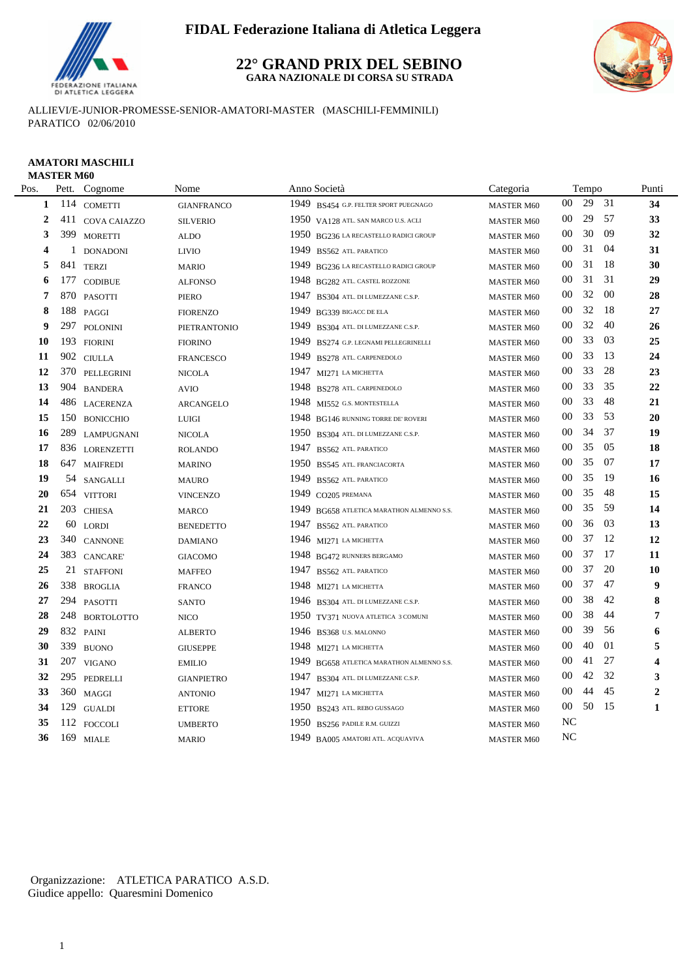

#### **22° GRAND PRIX DEL SEBINO GARA NAZIONALE DI CORSA SU STRADA**



ALLIEVI/E-JUNIOR-PROMESSE-SENIOR-AMATORI-MASTER (MASCHILI-FEMMINILI) PARATICO 02/06/2010

#### **AMATORI MASCHILI MASTER M60**

| Pos.           | Pett.        | Cognome           | Nome              | Anno Società                                 | Categoria         |                | Tempo |     | Punti                   |
|----------------|--------------|-------------------|-------------------|----------------------------------------------|-------------------|----------------|-------|-----|-------------------------|
| 1              |              | 114 COMETTI       | <b>GIANFRANCO</b> | 1949 BS454 G.P. FELTER SPORT PUEGNAGO        | <b>MASTER M60</b> | $00\,$         | 29    | 31  | 34                      |
| $\overline{2}$ |              | 411 COVA CAIAZZO  | <b>SILVERIO</b>   | 1950 VA128 ATL. SAN MARCO U.S. ACLI          | <b>MASTER M60</b> | 00             | 29    | 57  | 33                      |
| 3              |              | 399 MORETTI       | <b>ALDO</b>       | 1950 BG236 LA RECASTELLO RADICI GROUP        | <b>MASTER M60</b> | 00             | 30    | 09  | 32                      |
| 4              | $\mathbf{1}$ | <b>DONADONI</b>   | <b>LIVIO</b>      | 1949<br>BS562 ATL. PARATICO                  | <b>MASTER M60</b> | 00             | 31    | 04  | 31                      |
| 5              | 841          | <b>TERZI</b>      | <b>MARIO</b>      | 1949<br>BG236 LA RECASTELLO RADICI GROUP     | <b>MASTER M60</b> | 00             | 31    | -18 | 30                      |
| 6              | 177          | <b>CODIBUE</b>    | <b>ALFONSO</b>    | 1948<br>BG282 ATL. CASTEL ROZZONE            | <b>MASTER M60</b> | 00             | 31    | 31  | 29                      |
| 7              | 870          | <b>PASOTTI</b>    | PIERO             | 1947<br>BS304 ATL. DI LUMEZZANE C.S.P.       | <b>MASTER M60</b> | $00\,$         | 32    | 00  | 28                      |
| 8              |              | 188 PAGGI         | <b>FIORENZO</b>   | 1949<br>BG339 BIGACC DE ELA                  | <b>MASTER M60</b> | 00             | 32    | 18  | 27                      |
| 9              |              | 297 POLONINI      | PIETRANTONIO      | 1949<br>BS304 ATL. DI LUMEZZANE C.S.P.       | <b>MASTER M60</b> | 00             | 32    | 40  | 26                      |
| 10             |              | 193 FIORINI       | <b>FIORINO</b>    | 1949<br>BS274 G.P. LEGNAMI PELLEGRINELLI     | <b>MASTER M60</b> | 00             | 33    | 03  | 25                      |
| 11             |              | 902 CIULLA        | <b>FRANCESCO</b>  | 1949<br>BS278 ATL. CARPENEDOLO               | <b>MASTER M60</b> | 00             | 33    | 13  | 24                      |
| 12             |              | 370 PELLEGRINI    | <b>NICOLA</b>     | 1947 MI271 LA MICHETTA                       | <b>MASTER M60</b> | 00             | 33    | 28  | 23                      |
| 13             |              | 904 BANDERA       | <b>AVIO</b>       | 1948<br>BS278 ATL. CARPENEDOLO               | <b>MASTER M60</b> | 00             | 33    | 35  | 22                      |
| 14             |              | 486 LACERENZA     | ARCANGELO         | 1948<br>MI552 G.S. MONTESTELLA               | <b>MASTER M60</b> | 00             | 33    | 48  | 21                      |
| 15             | 150          | <b>BONICCHIO</b>  | <b>LUIGI</b>      | 1948 BG146 RUNNING TORRE DE' ROVERI          | <b>MASTER M60</b> | 00             | 33    | 53  | 20                      |
| 16             | 289          | <b>LAMPUGNANI</b> | <b>NICOLA</b>     | 1950<br>BS304 ATL. DI LUMEZZANE C.S.P.       | <b>MASTER M60</b> | 00             | 34    | 37  | 19                      |
| 17             | 836          | <b>LORENZETTI</b> | <b>ROLANDO</b>    | 1947<br>BS562 ATL. PARATICO                  | <b>MASTER M60</b> | 00             | 35    | 05  | 18                      |
| 18             | 647          | <b>MAIFREDI</b>   | <b>MARINO</b>     | 1950<br>BS545 ATL. FRANCIACORTA              | <b>MASTER M60</b> | 00             | 35    | 07  | 17                      |
| 19             |              | 54 SANGALLI       | <b>MAURO</b>      | 1949<br>BS562 ATL. PARATICO                  | <b>MASTER M60</b> | 00             | 35    | -19 | 16                      |
| 20             |              | 654 VITTORI       | <b>VINCENZO</b>   | 1949<br>CO205 PREMANA                        | <b>MASTER M60</b> | 00             | 35    | -48 | 15                      |
| 21             |              | 203 CHIESA        | <b>MARCO</b>      | 1949<br>BG658 ATLETICA MARATHON ALMENNO S.S. | <b>MASTER M60</b> | $00\,$         | 35    | -59 | 14                      |
| 22             | 60           | <b>LORDI</b>      | <b>BENEDETTO</b>  | 1947<br>BS562 ATL. PARATICO                  | <b>MASTER M60</b> | 00             | 36    | 03  | 13                      |
| 23             |              | 340 CANNONE       | <b>DAMIANO</b>    | 1946 MI271 LA MICHETTA                       | <b>MASTER M60</b> | 00             | 37    | 12  | 12                      |
| 24             |              | 383 CANCARE       | <b>GIACOMO</b>    | 1948 BG472 RUNNERS BERGAMO                   | <b>MASTER M60</b> | 00             | 37    | 17  | 11                      |
| 25             |              | 21 STAFFONI       | <b>MAFFEO</b>     | 1947<br>BS562 ATL. PARATICO                  | <b>MASTER M60</b> | $00\,$         | 37    | 20  | 10                      |
| 26             |              | 338 BROGLIA       | <b>FRANCO</b>     | 1948 MI271 LA MICHETTA                       | <b>MASTER M60</b> | 00             | 37    | 47  | 9                       |
| 27             |              | 294 PASOTTI       | <b>SANTO</b>      | 1946 BS304 ATL. DI LUMEZZANE C.S.P.          | <b>MASTER M60</b> | 00             | 38    | 42  | 8                       |
| 28             |              | 248 BORTOLOTTO    | <b>NICO</b>       | 1950 TV371 NUOVA ATLETICA 3 COMUNI           | <b>MASTER M60</b> | 00             | 38    | 44  | 7                       |
| 29             |              | 832 PAINI         | <b>ALBERTO</b>    | 1946 BS368 U.S. MALONNO                      | <b>MASTER M60</b> | 00             | 39    | 56  | 6                       |
| 30             |              | 339 BUONO         | <b>GIUSEPPE</b>   | 1948 MI271 LA MICHETTA                       | <b>MASTER M60</b> | 00             | 40    | 01  | 5                       |
| 31             |              | 207 VIGANO        | <b>EMILIO</b>     | 1949 BG658 ATLETICA MARATHON ALMENNO S.S.    | <b>MASTER M60</b> | $00\,$         | 41    | 27  | $\overline{\mathbf{4}}$ |
| 32             |              | 295 PEDRELLI      | <b>GIANPIETRO</b> | 1947<br>BS304 ATL. DI LUMEZZANE C.S.P.       | <b>MASTER M60</b> | 00             | 42    | 32  | 3                       |
| 33             |              | 360 MAGGI         | <b>ANTONIO</b>    | 1947 MI271 LA MICHETTA                       | <b>MASTER M60</b> | $00\,$         | 44    | 45  | $\boldsymbol{2}$        |
| 34             |              | 129 GUALDI        | <b>ETTORE</b>     | 1950 BS243 ATL. REBO GUSSAGO                 | <b>MASTER M60</b> | $00\,$         | 50    | 15  | $\mathbf{1}$            |
| 35             |              | 112 FOCCOLI       | <b>UMBERTO</b>    | 1950 BS256 PADILE R.M. GUIZZI                | <b>MASTER M60</b> | N <sub>C</sub> |       |     |                         |
| 36             |              | 169 MIALE         | <b>MARIO</b>      | 1949 BA005 AMATORI ATL. ACQUAVIVA            | <b>MASTER M60</b> | <b>NC</b>      |       |     |                         |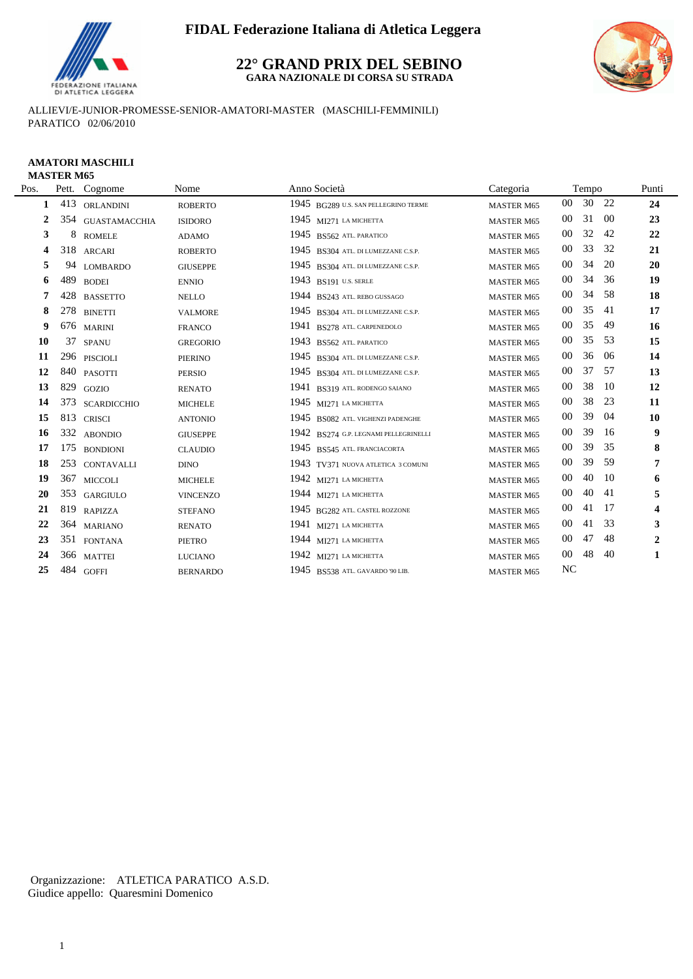

#### **22° GRAND PRIX DEL SEBINO GARA NAZIONALE DI CORSA SU STRADA**



ALLIEVI/E-JUNIOR-PROMESSE-SENIOR-AMATORI-MASTER (MASCHILI-FEMMINILI) PARATICO 02/06/2010

# **AMATORI MASCHILI**

| <b>MASTER M65</b> |  |
|-------------------|--|
|-------------------|--|

÷.

| Pos. | Pett.    | Cognome              | Nome            | Anno Società                          | Categoria         |                 | Tempo |       | Punti          |
|------|----------|----------------------|-----------------|---------------------------------------|-------------------|-----------------|-------|-------|----------------|
|      | 413<br>1 | ORLANDINI            | <b>ROBERTO</b>  | 1945 BG289 U.S. SAN PELLEGRINO TERME  | <b>MASTER M65</b> | 00 <sup>°</sup> |       | 30 22 | 24             |
|      | 354<br>2 | <b>GUASTAMACCHIA</b> | <b>ISIDORO</b>  | 1945 $M1271$ LA MICHETTA              | <b>MASTER M65</b> | $00\,$          | 31    | -00   | 23             |
|      | 3        | 8<br><b>ROMELE</b>   | <b>ADAMO</b>    | 1945 BS562 ATL PARATICO               | <b>MASTER M65</b> | 00              | 32    | 42    | 22             |
|      | 318<br>4 | <b>ARCARI</b>        | <b>ROBERTO</b>  | 1945 BS304 ATL. DI LUMEZZANE C.S.P.   | <b>MASTER M65</b> | 00              | 33    | 32    | 21             |
|      | 5<br>94  | <b>LOMBARDO</b>      | <b>GIUSEPPE</b> | 1945 BS304 ATL. DI LUMEZZANE C.S.P.   | <b>MASTER M65</b> | 00              | 34    | 20    | 20             |
|      | 489<br>6 | <b>BODEI</b>         | <b>ENNIO</b>    | 1943 BS191 U.S. SERLE                 | <b>MASTER M65</b> | 00              | 34    | 36    | 19             |
|      | 7<br>428 | <b>BASSETTO</b>      | <b>NELLO</b>    | 1944 BS243 ATL. REBO GUSSAGO          | <b>MASTER M65</b> | 00              | 34    | 58    | 18             |
|      | 8<br>278 | <b>BINETTI</b>       | <b>VALMORE</b>  | 1945 BS304 ATL. DI LUMEZZANE C.S.P.   | <b>MASTER M65</b> | $00\,$          | 35    | -41   | 17             |
|      | 9        | 676 MARINI           | <b>FRANCO</b>   | 1941 BS278 ATL. CARPENEDOLO           | <b>MASTER M65</b> | 00              | 35    | 49    | 16             |
| 10   | 37       | <b>SPANU</b>         | <b>GREGORIO</b> | 1943 BS562 ATL. PARATICO              | <b>MASTER M65</b> | $00\,$          | 35    | 53    | 15             |
| 11   |          | 296 PISCIOLI         | PIERINO         | 1945 BS304 ATL. DI LUMEZZANE C.S.P.   | <b>MASTER M65</b> | 00              | 36    | -06   | 14             |
| 12   |          | 840 PASOTTI          | <b>PERSIO</b>   | 1945 BS304 ATL. DI LUMEZZANE C.S.P.   | <b>MASTER M65</b> | 00              | 37    | 57    | 13             |
| 13   | 829      | <b>GOZIO</b>         | <b>RENATO</b>   | 1941 BS319 ATL. RODENGO SAIANO        | <b>MASTER M65</b> | $00\,$          | 38    | -10   | 12             |
| 14   | 373      | <b>SCARDICCHIO</b>   | <b>MICHELE</b>  | $1945$ MI271 LA MICHETTA              | <b>MASTER M65</b> | 00              | 38    | 23    | 11             |
| 15   | 813      | <b>CRISCI</b>        | <b>ANTONIO</b>  | 1945 BS082 ATL. VIGHENZI PADENGHE     | <b>MASTER M65</b> | 00              | 39    | 04    | 10             |
| 16   |          | 332 ABONDIO          | <b>GIUSEPPE</b> | 1942 BS274 G.P. LEGNAMI PELLEGRINELLI | <b>MASTER M65</b> | $00\,$          | 39    | -16   | 9              |
| 17   | 175      | <b>BONDIONI</b>      | <b>CLAUDIO</b>  | 1945 BS545 ATL. FRANCIACORTA          | <b>MASTER M65</b> | 00              | 39    | 35    | 8              |
| 18   | 253      | <b>CONTAVALLI</b>    | <b>DINO</b>     | 1943 TV371 NUOVA ATLETICA 3 COMUNI    | <b>MASTER M65</b> | 00              | 39    | 59    | 7              |
| 19   | 367      | <b>MICCOLI</b>       | <b>MICHELE</b>  | 1942 MI271 LA MICHETTA                | <b>MASTER M65</b> | 00              | 40    | 10    | 6              |
| 20   | 353      | GARGIULO             | <b>VINCENZO</b> | 1944 $M1271$ LA MICHETTA              | <b>MASTER M65</b> | 00              | 40    | 41    | 5              |
| 21   | 819      | <b>RAPIZZA</b>       | <b>STEFANO</b>  | 1945 BG282 ATL. CASTEL ROZZONE        | <b>MASTER M65</b> | 00              | 41    | 17    | 4              |
| 22   |          | 364 MARIANO          | <b>RENATO</b>   | 1941 MI271 LA MICHETTA                | <b>MASTER M65</b> | $00\,$          | 41    | 33    | 3              |
| 23   |          | 351 FONTANA          | <b>PIETRO</b>   | 1944 MI271 LA MICHETTA                | <b>MASTER M65</b> | 00              | 47    | 48    | $\overline{2}$ |
| 24   |          | 366 MATTEI           | <b>LUCIANO</b>  | 1942 MI271 LA MICHETTA                | <b>MASTER M65</b> | $00\,$          | 48    | 40    | 1              |
| 25   |          | 484 GOFFI            | <b>BERNARDO</b> | 1945 BS538 ATL. GAVARDO '90 LIB.      | <b>MASTER M65</b> | NC              |       |       |                |
|      |          |                      |                 |                                       |                   |                 |       |       |                |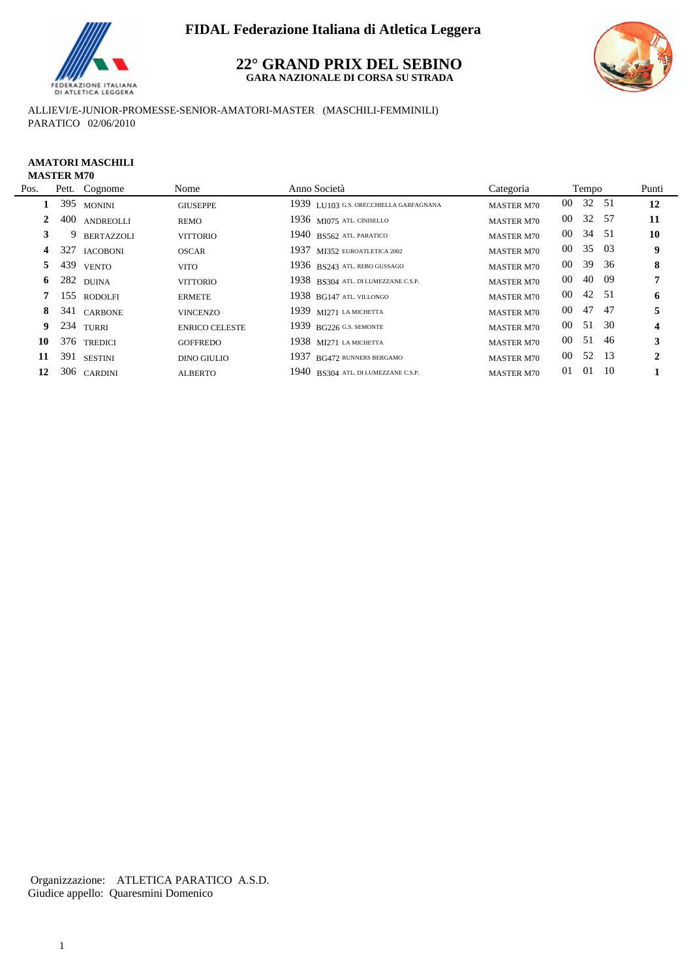

#### **22° GRAND PRIX DEL SEBINO GARA NAZIONALE DI CORSA SU STRADA**



ALLIEVI/E-JUNIOR-PROMESSE-SENIOR-AMATORI-MASTER (MASCHILI-FEMMINILI) PARATICO 02/06/2010

#### **AMATORI MASCHILI MASTER M70**

 $\overline{a}$ 

| Pos. |     | Pett. Cognome     | Nome                  | Anno Società                           | Categoria         |        | Tempo |      | Punti            |
|------|-----|-------------------|-----------------------|----------------------------------------|-------------------|--------|-------|------|------------------|
|      |     | 395 MONINI        | <b>GIUSEPPE</b>       | 1939 LU103 G.S. ORECCHIELLA GARFAGNANA | <b>MASTER M70</b> | $00\,$ | 32 51 |      | 12               |
|      | 400 | <b>ANDREOLLI</b>  | REMO                  | 1936 MI075 ATL CINISELLO               | <b>MASTER M70</b> | $00\,$ | 32 57 |      | 11               |
| 3    | 9   | <b>BERTAZZOLI</b> | <b>VITTORIO</b>       | 1940 BS562 ATL PARATICO                | <b>MASTER M70</b> | $00\,$ | 34 51 |      | 10               |
| 4    |     | 327 IACOBONI      | <b>OSCAR</b>          | 1937 MI352 EUROATLETICA 2002           | <b>MASTER M70</b> | $00\,$ | 35 03 |      | 9                |
| 5    | 439 | <b>VENTO</b>      | <b>VITO</b>           | 1936 BS243 ATL. REBO GUSSAGO           | <b>MASTER M70</b> | 00     | 39 36 |      | 8                |
| 6    |     | 282 DUINA         | <b>VITTORIO</b>       | 1938 BS304 ATL. DI LUMEZZANE C.S.P.    | <b>MASTER M70</b> | 00     | 40 09 |      | 7                |
|      |     | 155 RODOLFI       | <b>ERMETE</b>         | $1938$ BG147 ATL. VILLONGO             | <b>MASTER M70</b> | 00     | 42 51 |      | 6                |
| 8    |     | 341 CARBONE       | <b>VINCENZO</b>       | 1939 MI271 LA MICHETTA                 | <b>MASTER M70</b> | 00     | 47 47 |      | 5                |
| 9.   |     | 234 TURRI         | <b>ENRICO CELESTE</b> | $1939$ BG226 G.S. SEMONTE              | <b>MASTER M70</b> | $00\,$ | 51 30 |      | $\boldsymbol{4}$ |
| 10   |     | 376 TREDICI       | <b>GOFFREDO</b>       | 1938 $M1271$ LA MICHETTA               | <b>MASTER M70</b> | 00     | 51    | - 46 | 3                |
| 11   |     | 391 SESTINI       | <b>DINO GIULIO</b>    | 1937 BG472 RUNNERS BERGAMO             | <b>MASTER M70</b> | $00\,$ | 52 13 |      | 2                |
| 12   |     | 306 CARDINI       | <b>ALBERTO</b>        | 1940 BS304 ATL. DI LUMEZZANE C.S.P.    | <b>MASTER M70</b> | 01     | 01    | - 10 |                  |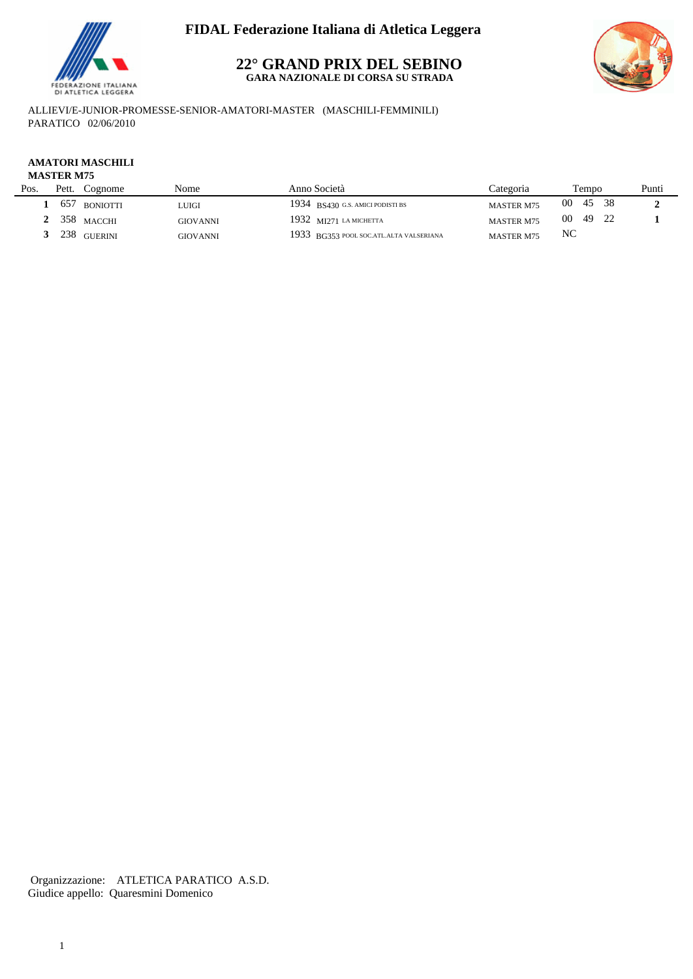

#### **22° GRAND PRIX DEL SEBINO GARA NAZIONALE DI CORSA SU STRADA**



ALLIEVI/E-JUNIOR-PROMESSE-SENIOR-AMATORI-MASTER (MASCHILI-FEMMINILI) PARATICO 02/06/2010

### **AMATORI MASCHILI**

#### **MASTER M75**

| Pett. | Cognome | Nome                                              | Anno Società                     | `ategoria                               | Tempo                                  | Punti          |
|-------|---------|---------------------------------------------------|----------------------------------|-----------------------------------------|----------------------------------------|----------------|
| 657   |         | 'JUIGI                                            | 1934 BS430 G.S. AMICI PODISTI BS |                                         | -38<br>45                              |                |
|       |         | <b>GIOVANNI</b>                                   | 1932 $M1271$ LA MICHETTA         |                                         | 49                                     |                |
| 238   |         | <b>GIOVANNI</b>                                   |                                  | <b>MASTER M75</b>                       |                                        |                |
|       |         | <b>BONIOTTI</b><br>$358$ MACCHI<br><b>GUERINI</b> |                                  | 1933 BG353 POOL SOC.ATL.ALTA VALSERIANA | <b>MASTER M75</b><br><b>MASTER M75</b> | 00<br>00<br>NC |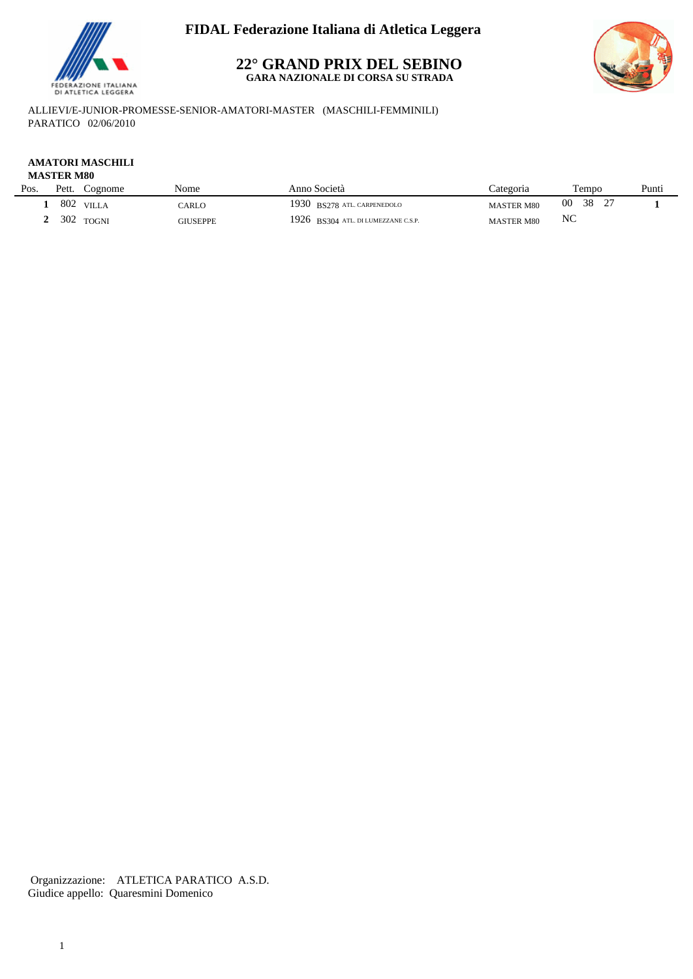

#### **22° GRAND PRIX DEL SEBINO GARA NAZIONALE DI CORSA SU STRADA**



ALLIEVI/E-JUNIOR-PROMESSE-SENIOR-AMATORI-MASTER (MASCHILI-FEMMINILI) PARATICO 02/06/2010

### **AMATORI MASCHILI**

#### **MASTER M80**

L.

| Pos. | Pett. | $\degree$ cognome | Nome            | Anno Società                        | categoria         | l'empo   | Punti |
|------|-------|-------------------|-----------------|-------------------------------------|-------------------|----------|-------|
|      | 802   | VILLA             | CARLO           | 1930 BS278 ATL. CARPENEDOLO         | <b>MASTER M80</b> | 00<br>38 |       |
|      | 302   | <b>TOGNI</b>      | <b>GIUSEPPE</b> | 1926 BS304 ATL. DI LUMEZZANE C.S.P. | <b>MASTER M80</b> | NC       |       |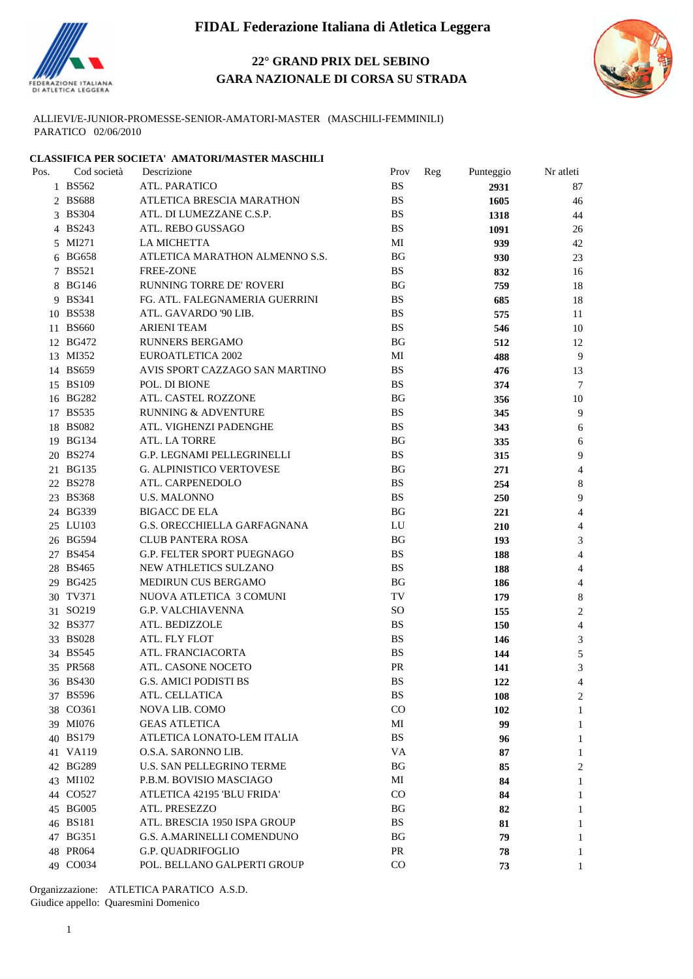

### **22° GRAND PRIX DEL SEBINO GARA NAZIONALE DI CORSA SU STRADA**



ALLIEVI/E-JUNIOR-PROMESSE-SENIOR-AMATORI-MASTER (MASCHILI-FEMMINILI) PARATICO 02/06/2010

#### **CLASSIFICA PER SOCIETA' AMATORI/MASTER MASCHILI**

| Pos. | Cod società | Descrizione                       | Prov<br>Reg   | Punteggio  | Nr atleti |  |
|------|-------------|-----------------------------------|---------------|------------|-----------|--|
|      | 1 BS562     | ATL. PARATICO                     | <b>BS</b>     | 2931       | 87        |  |
|      | 2 BS688     | ATLETICA BRESCIA MARATHON         | <b>BS</b>     | 1605       | 46        |  |
|      | 3 BS304     | ATL. DI LUMEZZANE C.S.P.          | <b>BS</b>     | 1318       | 44        |  |
|      | 4 BS243     | ATL. REBO GUSSAGO                 | <b>BS</b>     | 1091       | 26        |  |
|      | 5 MI271     | <b>LA MICHETTA</b>                | MI            | 939        | 42        |  |
|      | 6 BG658     | ATLETICA MARATHON ALMENNO S.S.    | BG            | 930        | 23        |  |
|      | 7 BS521     | <b>FREE-ZONE</b>                  | <b>BS</b>     | 832        | 16        |  |
|      | 8 BG146     | RUNNING TORRE DE' ROVERI          | <b>BG</b>     | 759        | 18        |  |
|      | 9 BS341     | FG. ATL. FALEGNAMERIA GUERRINI    | <b>BS</b>     | 685        | 18        |  |
|      | 10 BS538    | ATL. GAVARDO '90 LIB.             | <b>BS</b>     | 575        | 11        |  |
|      | 11 BS660    | <b>ARIENI TEAM</b>                | <b>BS</b>     | 546        | 10        |  |
|      | 12 BG472    | <b>RUNNERS BERGAMO</b>            | BG            | 512        | 12        |  |
|      | 13 MI352    | <b>EUROATLETICA 2002</b>          | MI            | 488        | 9         |  |
|      | 14 BS659    | AVIS SPORT CAZZAGO SAN MARTINO    | <b>BS</b>     | 476        | 13        |  |
|      | 15 BS109    | POL. DI BIONE                     | <b>BS</b>     | 374        | $\tau$    |  |
|      | 16 BG282    | ATL. CASTEL ROZZONE               | <b>BG</b>     | 356        | 10        |  |
|      | 17 BS535    | <b>RUNNING &amp; ADVENTURE</b>    | <b>BS</b>     | 345        | 9         |  |
|      | 18 BS082    | ATL. VIGHENZI PADENGHE            | <b>BS</b>     | 343        | 6         |  |
|      | 19 BG134    | ATL. LA TORRE                     | <b>BG</b>     | 335        | 6         |  |
|      | 20 BS274    | G.P. LEGNAMI PELLEGRINELLI        | $_{\rm BS}$   | 315        | 9         |  |
|      | 21 BG135    | <b>G. ALPINISTICO VERTOVESE</b>   | <b>BG</b>     | 271        | 4         |  |
|      | 22 BS278    | ATL. CARPENEDOLO                  | <b>BS</b>     | 254        | 8         |  |
|      | 23 BS368    | <b>U.S. MALONNO</b>               | <b>BS</b>     | 250        | 9         |  |
|      | 24 BG339    | <b>BIGACC DE ELA</b>              | <b>BG</b>     | 221        | 4         |  |
|      | 25 LU103    | G.S. ORECCHIELLA GARFAGNANA       | LU            | 210        | 4         |  |
|      | 26 BG594    | <b>CLUB PANTERA ROSA</b>          | <b>BG</b>     | 193        | 3         |  |
|      | 27 BS454    | <b>G.P. FELTER SPORT PUEGNAGO</b> | BS            | 188        | 4         |  |
|      | 28 BS465    | NEW ATHLETICS SULZANO             | <b>BS</b>     | 188        | 4         |  |
|      | 29 BG425    | MEDIRUN CUS BERGAMO               | <b>BG</b>     | 186        | 4         |  |
|      | 30 TV371    | NUOVA ATLETICA 3 COMUNI           | TV            | 179        | 8         |  |
|      | 31 SO219    | <b>G.P. VALCHIAVENNA</b>          | <sub>SO</sub> | 155        | 2         |  |
|      | 32 BS377    | ATL. BEDIZZOLE                    | <b>BS</b>     | 150        | 4         |  |
|      | 33 BS028    | ATL. FLY FLOT                     | <b>BS</b>     | 146        | 3         |  |
|      | 34 BS545    | ATL. FRANCIACORTA                 | <b>BS</b>     | 144        | 5         |  |
|      | 35 PR568    | ATL. CASONE NOCETO                | <b>PR</b>     | 141        | 3         |  |
|      | 36 BS430    | <b>G.S. AMICI PODISTI BS</b>      | <b>BS</b>     | 122        | 4         |  |
|      | 37 BS596    | ATL. CELLATICA                    | <b>BS</b>     | <b>108</b> | 2         |  |
|      | 38 CO361    | NOVA LIB. COMO                    | CO            | 102        | 1         |  |
|      | 39 MI076    | <b>GEAS ATLETICA</b>              | MI            | 99         | 1         |  |
|      | 40 BS179    | ATLETICA LONATO-LEM ITALIA        | $_{\rm BS}$   | 96         | 1         |  |
|      | 41 VA119    | O.S.A. SARONNO LIB.               | VA            | 87         | 1         |  |
|      | 42 BG289    | <b>U.S. SAN PELLEGRINO TERME</b>  | <b>BG</b>     | 85         | 2         |  |
|      | 43 MI102    | P.B.M. BOVISIO MASCIAGO           | MI            | 84         | 1         |  |
|      | 44 CO527    | ATLETICA 42195 'BLU FRIDA'        | CO            | 84         | 1         |  |
|      | 45 BG005    | ATL. PRESEZZO                     | <b>BG</b>     | 82         | 1         |  |
|      | 46 BS181    | ATL. BRESCIA 1950 ISPA GROUP      | <b>BS</b>     | 81         |           |  |
|      | 47 BG351    | G.S. A.MARINELLI COMENDUNO        | BG            | 79         | 1         |  |
|      | 48 PR064    | G.P. QUADRIFOGLIO                 | PR            | 78         | 1         |  |
|      | 49 CO034    | POL. BELLANO GALPERTI GROUP       | CO            | 73         | 1         |  |